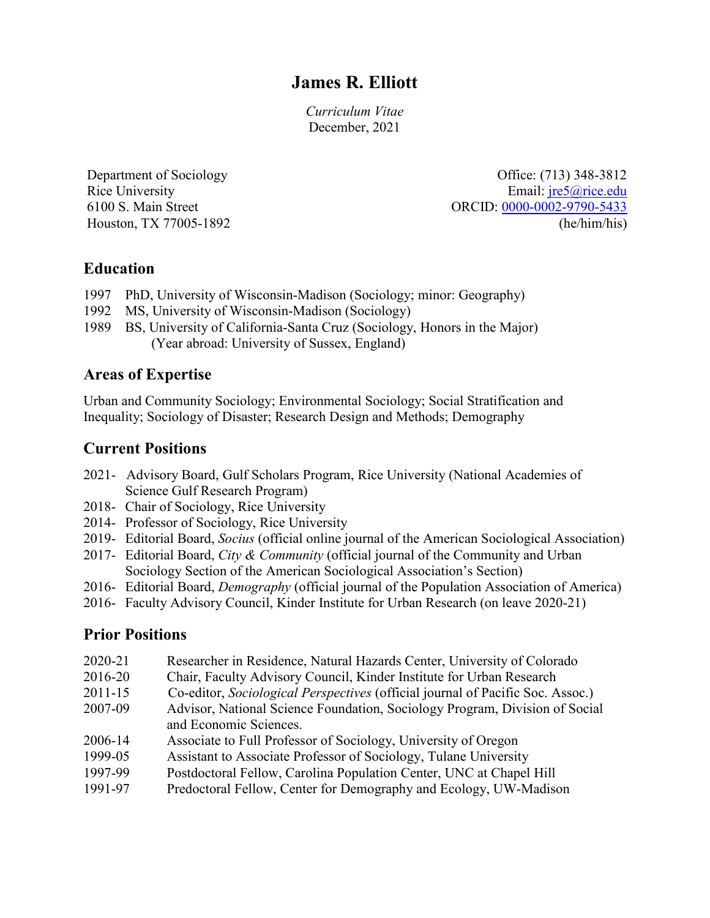# **James R. Elliott**

*Curriculum Vitae* December, 2021

Department of Sociology Rice University 6100 S. Main Street Houston, TX 77005-1892

Office: (713) 348-3812 Email: [jre5@rice.edu](mailto:jre5@rice.edu) ORCID: [0000-0002-9790-5433](https://orcid.org/0000-0002-9790-5433) (he/him/his)

# **Education**

- 1997 PhD, University of Wisconsin-Madison (Sociology; minor: Geography)
- 1992 MS, University of Wisconsin-Madison (Sociology)
- 1989 BS, University of California-Santa Cruz (Sociology, Honors in the Major) (Year abroad: University of Sussex, England)

# **Areas of Expertise**

Urban and Community Sociology; Environmental Sociology; Social Stratification and Inequality; Sociology of Disaster; Research Design and Methods; Demography

# **Current Positions**

- 2021- Advisory Board, Gulf Scholars Program, Rice University (National Academies of Science Gulf Research Program)
- 2018- Chair of Sociology, Rice University
- 2014- Professor of Sociology, Rice University
- 2019- Editorial Board, *Socius* (official online journal of the American Sociological Association)
- 2017- Editorial Board, *City & Community* (official journal of the Community and Urban Sociology Section of the American Sociological Association's Section)
- 2016- Editorial Board, *Demography* (official journal of the Population Association of America)
- 2016- Faculty Advisory Council, Kinder Institute for Urban Research (on leave 2020-21)

# **Prior Positions**

- 2020-21 Researcher in Residence, Natural Hazards Center, University of Colorado
- 2016-20 Chair, Faculty Advisory Council, Kinder Institute for Urban Research
- 2011-15 Co-editor, *Sociological Perspectives* (official journal of Pacific Soc. Assoc.)
- 2007-09 Advisor, National Science Foundation, Sociology Program, Division of Social and Economic Sciences.
- 2006-14 Associate to Full Professor of Sociology, University of Oregon
- 1999-05 Assistant to Associate Professor of Sociology, Tulane University
- 1997-99 Postdoctoral Fellow, Carolina Population Center, UNC at Chapel Hill
- 1991-97 Predoctoral Fellow, Center for Demography and Ecology, UW-Madison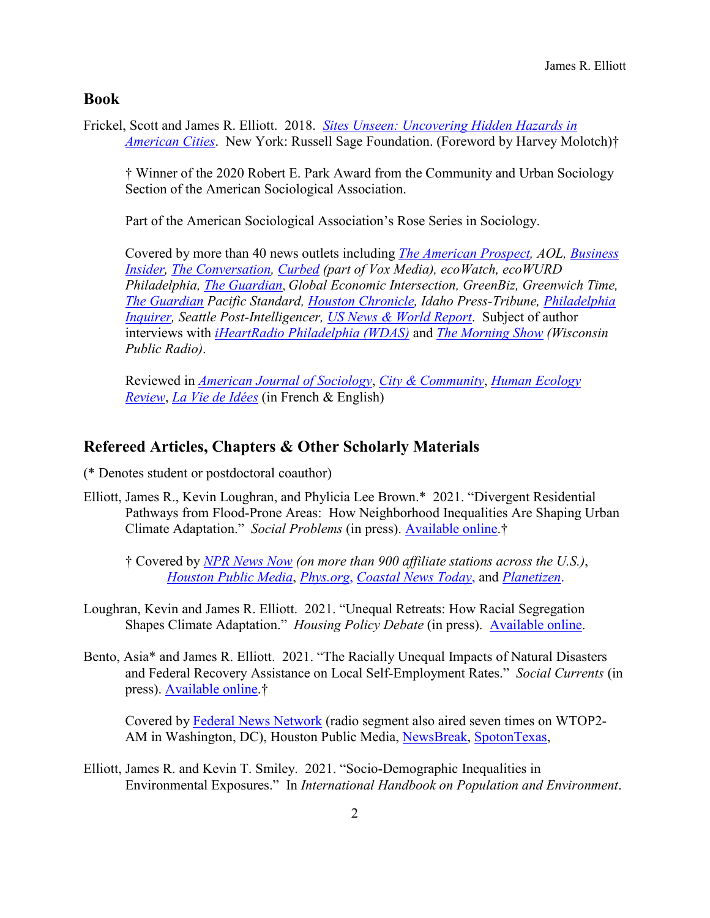### **Book**

Frickel, Scott and James R. Elliott. 2018. *[Sites Unseen: Uncovering Hidden Hazards in](https://www.russellsage.org/publications/sites-unseen)  [American Cities](https://www.russellsage.org/publications/sites-unseen)*. New York: Russell Sage Foundation. (Foreword by Harvey Molotch)†

† Winner of the 2020 Robert E. Park Award from the Community and Urban Sociology Section of the American Sociological Association.

Part of the American Sociological Association's Rose Series in Sociology.

Covered by more than 40 news outlets including *[The American Prospect,](https://prospect.org/topics/scott-frickel-james-r.-elliott/) AOL, [Business](https://www.businessinsider.com/radioactive-object-found-in-8-billion-san-francisco-neighborhood-2018-9)  [Insider,](https://www.businessinsider.com/radioactive-object-found-in-8-billion-san-francisco-neighborhood-2018-9) [The Conversation,](https://theconversation.com/what-lies-beneath-to-manage-toxic-contamination-in-cities-study-their-industrial-histories-104897) [Curbed](https://www.curbed.com/2018/10/9/17952764/real-estate-pollution-superfund-industrial) (part of Vox Media), ecoWatch, ecoWURD Philadelphia, [The Guardian](https://www.theguardian.com/us-news/2018/sep/19/hazadarous-waste-us-cities-sites-unseen-book-interview)*, *Global Economic Intersection, GreenBiz, Greenwich Time, [The Guardian](https://www.theguardian.com/us-news/2018/sep/19/hazadarous-waste-us-cities-sites-unseen-book-interview) Pacific Standard, [Houston Chronicle,](https://www.houstonchronicle.com/local/gray-matters/article/hazardous-waste-manufacturing-sites-redevelopment-13481046.php) Idaho Press-Tribune, [Philadelphia](https://www.inquirer.com/philly/news/sites-unseen-toxic-philly-scott-frickel-james-elliott-industrial-hazards-20181012.html)  [Inquirer,](https://www.inquirer.com/philly/news/sites-unseen-toxic-philly-scott-frickel-james-elliott-industrial-hazards-20181012.html) Seattle Post-Intelligencer, [US News & World Report](https://www.usnews.com/news/cities/articles/2018-12-21/what-lies-beneath-uncovering-cities-toxic-secrets)*. Subject of author interviews with *[iHeartRadio Philadelphia \(WDAS\)](https://www.iheart.com/podcast/482-philadelphia-commun-28438308/episode/11-25-scott-frickel-and-james-elliot-30189730/)* and *[The Morning Show](https://www.wpr.org/what-know-and-do-about-industrial-history-urban-areas) (Wisconsin Public Radio)*.

Reviewed in *[American Journal of Sociology](https://www.journals.uchicago.edu/doi/10.1086/707125)*, *[City & Community](https://onlinelibrary.wiley.com/doi/full/10.1111/cico.12408)*, *[Human Ecology](https://pdfs.semanticscholar.org/00cb/00c09b7d60b29300148d599d7f164fa81cc4.pdf)  [Review](https://pdfs.semanticscholar.org/00cb/00c09b7d60b29300148d599d7f164fa81cc4.pdf)*, *[La Vie de Idées](https://booksandideas.net/IMG/pdf/en_toxic_urban_land_marichalar_10062019.pdf)* (in French & English)

### **Refereed Articles, Chapters & Other Scholarly Materials**

(\* Denotes student or postdoctoral coauthor)

Elliott, James R., Kevin Loughran, and Phylicia Lee Brown.\* 2021. "Divergent Residential Pathways from Flood-Prone Areas: How Neighborhood Inequalities Are Shaping Urban Climate Adaptation." *Social Problems* (in press). [Available](https://academic.oup.com/socpro/advance-article-abstract/doi/10.1093/socpro/spab059/6375041?redirectedFrom=fulltext) online.†

† Covered by *[NPR News Now](https://mms.tveyes.com/PlaybackPortal.aspx?SavedEditID=e78f6f11-69e4-430a-9216-ec08e8462baa) (on more than 900 affiliate stations across the U.S.)*, *[Houston Public Media](http://dateline.rice/june-30-elliott-brown)*, *[Phys.org](http://dateline.rice/june-30-elliott-brown)*, *[Coastal News Today](https://www.coastalnewstoday.com/post/tx-flood-relocation-disproportionately-affects-non-white-houston-neighborhoods-study-says)*, and *[Planetizen](https://www.planetizen.com/news/2021/07/114037-flood-buyouts-exacerbate-inequality-harris-county-texas)*.

- Loughran, Kevin and James R. Elliott. 2021. "Unequal Retreats: How Racial Segregation Shapes Climate Adaptation." *Housing Policy Debate* (in press). [Available online.](https://www.tandfonline.com/doi/full/10.1080/10511482.2021.1931928)
- Bento, Asia\* and James R. Elliott. 2021. "The Racially Unequal Impacts of Natural Disasters and Federal Recovery Assistance on Local Self-Employment Rates." *Social Currents* (in press). [Available online.](https://journals.sagepub.com/doi/full/10.1177/23294965211028841)†

Covered by [Federal News Network](https://federalnewsnetwork.com/tom-temin-federal-drive/2021/08/new-study-finds-fema-disaster-aid-boosts-entrepreneurship-increases-racial-disparities/) (radio segment also aired seven times on WTOP2- AM in Washington, DC), Houston Public Media, [NewsBreak,](https://www.newsbreak.com/news/2338935368911/fema-disaster-recovery-funds-favor-white-entrepreneurs-study-finds) [SpotonTexas,](https://spotontexas.com/tx-colleges/2893210/fema-disaster-recovery-funds-favor-white.html)

Elliott, James R. and Kevin T. Smiley. 2021. "Socio‐Demographic Inequalities in Environmental Exposures." In *International Handbook on Population and Environment*.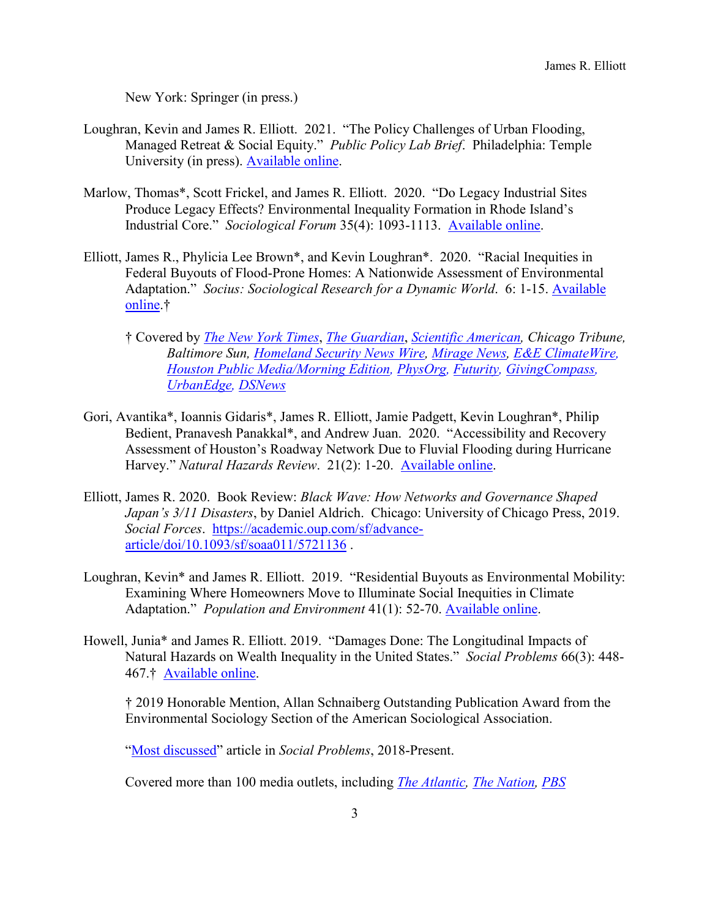New York: Springer (in press.)

- Loughran, Kevin and James R. Elliott. 2021. "The Policy Challenges of Urban Flooding, Managed Retreat & Social Equity." *Public Policy Lab Brief*. Philadelphia: Temple University (in press). [Available online.](https://drive.google.com/file/d/1Ui7bG128L5JmsBATlLPeG3aTEy-pL2Lc/view)
- Marlow, Thomas\*, Scott Frickel, and James R. Elliott. 2020. "Do Legacy Industrial Sites Produce Legacy Effects? Environmental Inequality Formation in Rhode Island's Industrial Core." *Sociological Forum* 35(4): 1093-1113. [Available online.](https://onlinelibrary.wiley.com/doi/epdf/10.1111/socf.12639)
- Elliott, James R., Phylicia Lee Brown\*, and Kevin Loughran\*. 2020. "Racial Inequities in Federal Buyouts of Flood-Prone Homes: A Nationwide Assessment of Environmental Adaptation." *Socius: Sociological Research for a Dynamic World*. 6: 1-15. [Available](https://doi.org/10.1177/2378023120905439)  [online.](https://doi.org/10.1177/2378023120905439)†
	- † Covered by *[The New York Times](https://www.nytimes.com/2021/06/07/climate/FEMA-race-climate.html)*, *[The Guardian](https://www.theguardian.com/us-news/2021/apr/18/hurricane-sandy-new-york-far-rockaway-climate-gentrification-hit)*, *[Scientific American,](https://www.scientificamerican.com/article/racial-inequalities-in-housing-extend-to-flood-buyout-programs/) Chicago Tribune, Baltimore Sun, [Homeland Security News Wire,](http://www.homelandsecuritynewswire.com/dr20200220-flood-buyouts-benefit-the-whitest-atrisk-neighborhoods) [Mirage News,](https://www.miragenews.com/flood-buyouts-benefit-cities-and-their-whitest-at-risk-neighborhoods/) [E&E ClimateWire,](https://www.eenews.net/climatewire/2020/02/19/stories/1062387985) [Houston Public Media/Morning Edition,](https://www.houstonpublicmedia.org/articles/shows/hpm-local-newscast/2020/02/24/361581/hpm-local-newscast-for-7-am-monday-february-24-2020/) [PhysOrg,](https://phys.org/news/2020-02-buyouts-disproportionately-benefit-whitest-at-risk.html) [Futurity,](https://www.futurity.org/flood-buyout-whitest-communities-2282602-2/) [GivingCompass,](https://www.givingcompass.org/article/the-whitest-communities-most-benefit-from-flood-buyouts/) [UrbanEdge,](https://kinder.rice.edu/urbanedge/2020/02/18/study-reveals-effects-white-privilege-fema-flood-buyout-program-Houston-hurricane-harvey) [DSNews](https://dsnews.com/daily-dose/02-24-2020/the-racial-divide-of-flood-damage-buyouts)*
- Gori, Avantika\*, Ioannis Gidaris\*, James R. Elliott, Jamie Padgett, Kevin Loughran\*, Philip Bedient, Pranavesh Panakkal\*, and Andrew Juan. 2020. "Accessibility and Recovery Assessment of Houston's Roadway Network Due to Fluvial Flooding during Hurricane Harvey." *Natural Hazards Review*. 21(2): 1-20. [Available online.](https://ascelibrary.org/doi/10.1061/%28ASCE%29NH.1527-6996.0000355)
- Elliott, James R. 2020. Book Review: *Black Wave: How Networks and Governance Shaped Japan's 3/11 Disasters*, by Daniel Aldrich. Chicago: University of Chicago Press, 2019. *Social Forces*. [https://academic.oup.com/sf/advance](https://academic.oup.com/sf/advance-article/doi/10.1093/sf/soaa011/5721136)[article/doi/10.1093/sf/soaa011/5721136](https://academic.oup.com/sf/advance-article/doi/10.1093/sf/soaa011/5721136) .
- Loughran, Kevin\* and James R. Elliott. 2019. "Residential Buyouts as Environmental Mobility: Examining Where Homeowners Move to Illuminate Social Inequities in Climate Adaptation." *Population and Environment* 41(1): 52-70. [Available online.](https://doi.org/10.1007/s11111-019-00324-7)
- Howell, Junia\* and James R. Elliott. 2019. "Damages Done: The Longitudinal Impacts of Natural Hazards on Wealth Inequality in the United States." *Social Problems* 66(3): 448- 467.† [Available online.](https://doi.org/10.1093/socpro/spy016)

† 2019 Honorable Mention, Allan Schnaiberg Outstanding Publication Award from the Environmental Sociology Section of the American Sociological Association.

["Most discussed"](https://academic.oup.com/socpro/pages/high-impact) article in *Social Problems*, 2018-Present.

Covered more than 100 media outlets, including *[The Atlantic,](https://www.theatlantic.com/ideas/archive/2019/01/why-natural-disasters-are-worse-poor/580846/) [The Nation,](https://www.thenation.com/article/society/hud-fema-renters-natural-disaster/) [PBS](https://www.pbs.org/newshour/economy/making-sense/how-natural-disasters-can-increase-inequality)*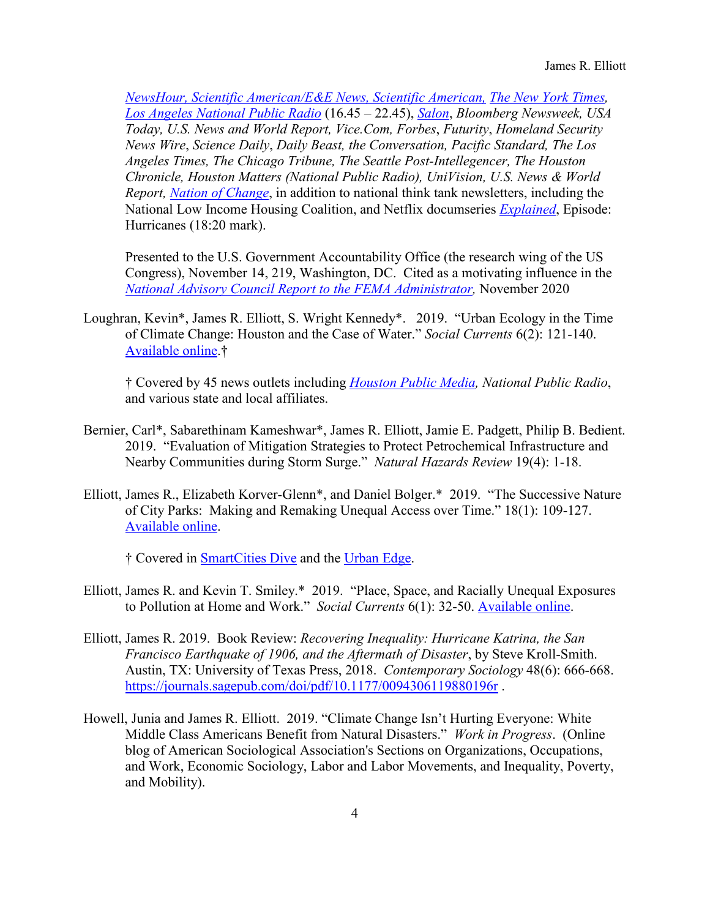*[NewsHour,](https://www.pbs.org/newshour/economy/making-sense/how-natural-disasters-can-increase-inequality) [Scientific American/](https://www.scientificamerican.com/article/disaster-loans-entrench-disparities-in-black-communities/)E&E News, [Scientific American,](https://www.scientificamerican.com/article/fix-disaster-response-now1/) [The New York Times,](https://www.nytimes.com/2021/06/07/climate/FEMA-race-climate.html) [Los Angeles National Public Radio](https://dcs.megaphone.fm/KPC1358778462.mp3?key=d6f11194910a11b39c29153f48fe17c1&listener=c00e1b0d-3ec0-4c94-98cd-4ab5e40c96b1)* (16.45 – 22.45), *[Salon](https://www.salon.com/2021/09/15/biden-must-make-racial-justice-central-to-post-ida-disaster-recovery/)*, *Bloomberg Newsweek, USA Today, U.S. News and World Report, Vice.Com, Forbes*, *Futurity*, *Homeland Security News Wire*, *Science Daily*, *Daily Beast, the Conversation, Pacific Standard, The Los Angeles Times, The Chicago Tribune, The Seattle Post-Intellegencer, The Houston Chronicle, Houston Matters (National Public Radio), UniVision, U.S. News & World Report, [Nation of Change](https://www.nationofchange.org/2021/04/07/sacrifice-zones-how-people-of-color-are-targets-of-environmental-racism/)*, in addition to national think tank newsletters, including the National Low Income Housing Coalition, and Netflix documseries *[Explained](https://www.netflix.com/title/80216752)*, Episode: Hurricanes (18:20 mark).

Presented to the U.S. Government Accountability Office (the research wing of the US Congress), November 14, 219, Washington, DC. Cited as a motivating influence in the *[National Advisory Council Report to the FEMA Administrator,](https://www.fema.gov/sites/default/files/documents/fema_nac-report_11-2020.pdf)* November 2020

Loughran, Kevin\*, James R. Elliott, S. Wright Kennedy\*. 2019. "Urban Ecology in the Time of Climate Change: Houston and the Case of Water." *Social Currents* 6(2): 121-140. [Available online.](https://doi.org/10.1177/2329496518797851)†

† Covered by 45 news outlets including *[Houston Public Media,](https://www.houstonpublicmedia.org/articles/news/2018/10/23/308963/researchers-find-connections-between-houston-area-home-buyouts-and-white-flight/) National Public Radio*, and various state and local affiliates.

- Bernier, Carl\*, Sabarethinam Kameshwar\*, James R. Elliott, Jamie E. Padgett, Philip B. Bedient. 2019. "Evaluation of Mitigation Strategies to Protect Petrochemical Infrastructure and Nearby Communities during Storm Surge." *Natural Hazards Review* 19(4): 1-18.
- Elliott, James R., Elizabeth Korver-Glenn\*, and Daniel Bolger.\* 2019. "The Successive Nature of City Parks: Making and Remaking Unequal Access over Time." 18(1): 109-127. [Available](https://doi.org/10.1111/cico.12366) online.

† Covered in [SmartCities Dive](https://www.smartcitiesdive.com/news/houston-sets-its-sights-on-a-more-equitable-park-system/585531/) and the [Urban Edge.](https://kinder.rice.edu/urbanedge/2019/04/17/houston-parks-privileged-leave-children-behind-research)

- Elliott, James R. and Kevin T. Smiley.\* 2019. "Place, Space, and Racially Unequal Exposures to Pollution at Home and Work." *Social Currents* 6(1): 32-50. [Available online.](https://doi.org/10.1177/2329496517704873)
- Elliott, James R. 2019. Book Review: *Recovering Inequality: Hurricane Katrina, the San Francisco Earthquake of 1906, and the Aftermath of Disaster*, by Steve Kroll-Smith. Austin, TX: University of Texas Press, 2018. *Contemporary Sociology* 48(6): 666-668. <https://journals.sagepub.com/doi/pdf/10.1177/0094306119880196r>.
- Howell, Junia and James R. Elliott. 2019. "Climate Change Isn't Hurting Everyone: White Middle Class Americans Benefit from Natural Disasters." *Work in Progress*. (Online blog of American Sociological Association's Sections on Organizations, Occupations, and Work, Economic Sociology, Labor and Labor Movements, and Inequality, Poverty, and Mobility).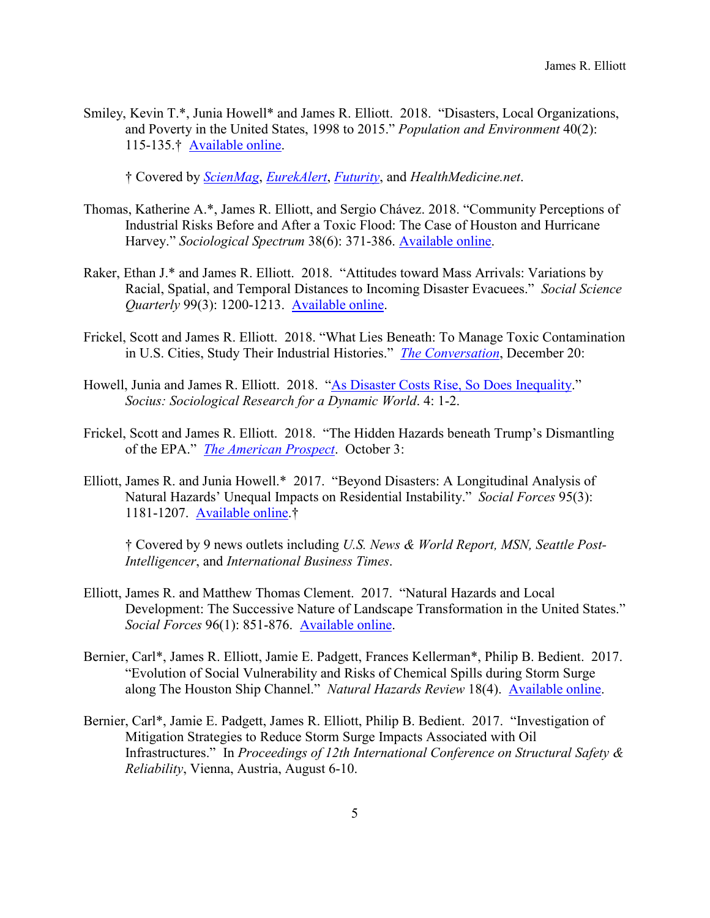Smiley, Kevin T.\*, Junia Howell\* and James R. Elliott. 2018. "Disasters, Local Organizations, and Poverty in the United States, 1998 to 2015." *Population and Environment* 40(2): 115-135.† [Available online.](https://doi.org/10.1007/s11111-018-0304-8)

† Covered by *[ScienMag](http://bit.ly/2PDaeJb)*, *[EurekAlert](https://www.eurekalert.org/pub_releases/2018-11/uab-owb111618.php)*, *[Futurity](https://www.futurity.org/natural-disasters-community-organizations-1924092-2/)*, and *HealthMedicine.net*.

- Thomas, Katherine A.\*, James R. Elliott, and Sergio Chávez. 2018. "Community Perceptions of Industrial Risks Before and After a Toxic Flood: The Case of Houston and Hurricane Harvey." *Sociological Spectrum* 38(6): 371-386. [Available online.](https://doi.org/10.1080/02732173.2018.1532367)
- Raker, Ethan J.\* and James R. Elliott. 2018. "Attitudes toward Mass Arrivals: Variations by Racial, Spatial, and Temporal Distances to Incoming Disaster Evacuees." *Social Science Quarterly* 99(3): 1200-1213. [Available online.](https://doi.org/10.1111/ssqu.12498)
- Frickel, Scott and James R. Elliott. 2018. "What Lies Beneath: To Manage Toxic Contamination in U.S. Cities, Study Their Industrial Histories." *[The Conversation](https://theconversation.com/what-lies-beneath-to-manage-toxic-contamination-in-cities-study-their-industrial-histories-104897)*, December 20:
- Howell, Junia and James R. Elliott. 2018. ["As Disaster Costs Rise, So Does Inequality.](https://doi.org/10.1177/2378023118816795)" *Socius: Sociological Research for a Dynamic World*. 4: 1-2.
- Frickel, Scott and James R. Elliott. 2018. "The Hidden Hazards beneath Trump's Dismantling of the EPA." *[The American Prospect](http://prospect.org/article/hidden-hazards-beneath-trump%E2%80%99s-dismantling-epa)*. October 3:
- Elliott, James R. and Junia Howell.\* 2017. "Beyond Disasters: A Longitudinal Analysis of Natural Hazards' Unequal Impacts on Residential Instability." *Social Forces* 95(3): 1181-1207. [Available online.](https://doi.org/10.1093/sf/sow086)†

† Covered by 9 news outlets including *U.S. News & World Report, MSN, Seattle Post-Intelligencer*, and *International Business Times*.

- Elliott, James R. and Matthew Thomas Clement. 2017. "Natural Hazards and Local Development: The Successive Nature of Landscape Transformation in the United States." *Social Forces* 96(1): 851-876. [Available online.](https://doi.org/10.1093/sf/sox054)
- Bernier, Carl\*, James R. Elliott, Jamie E. Padgett, Frances Kellerman\*, Philip B. Bedient. 2017. "Evolution of Social Vulnerability and Risks of Chemical Spills during Storm Surge along The Houston Ship Channel." *Natural Hazards Review* 18(4). [Available online.](https://doi.org/10.1061/(ASCE)NH.1527-6996.0000252)
- Bernier, Carl\*, Jamie E. Padgett, James R. Elliott, Philip B. Bedient. 2017. "Investigation of Mitigation Strategies to Reduce Storm Surge Impacts Associated with Oil Infrastructures." In *Proceedings of 12th International Conference on Structural Safety & Reliability*, Vienna, Austria, August 6-10.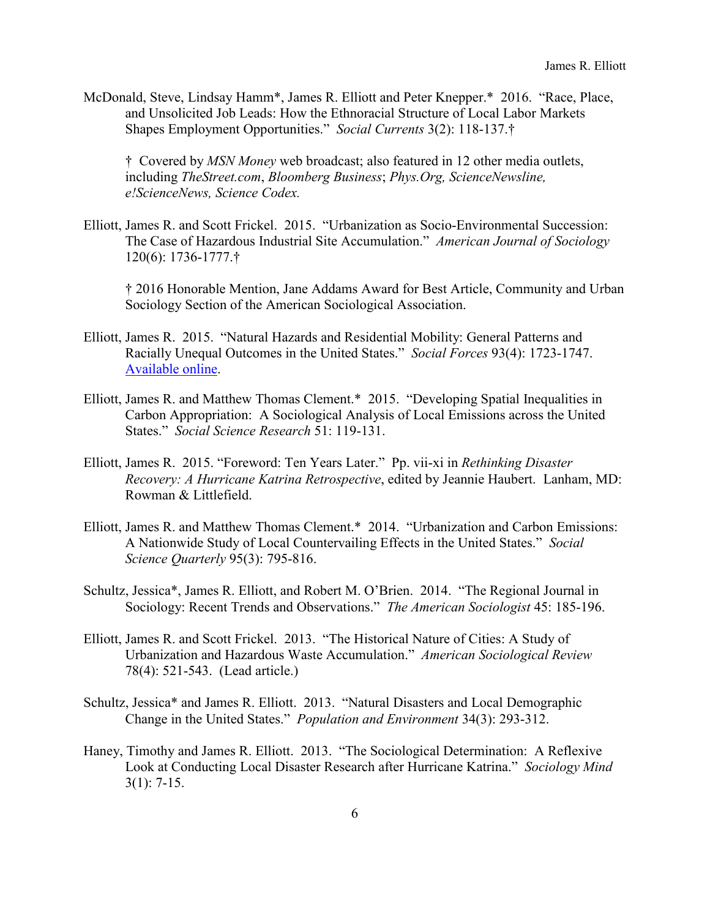McDonald, Steve, Lindsay Hamm\*, James R. Elliott and Peter Knepper.\* 2016. "Race, Place, and Unsolicited Job Leads: How the Ethnoracial Structure of Local Labor Markets Shapes Employment Opportunities." *Social Currents* 3(2): 118-137.†

†Covered by *MSN Money* web broadcast; also featured in 12 other media outlets, including *TheStreet.com*, *Bloomberg Business*; *Phys.Org, ScienceNewsline, e!ScienceNews, Science Codex.* 

Elliott, James R. and Scott Frickel. 2015. "Urbanization as Socio-Environmental Succession: The Case of Hazardous Industrial Site Accumulation." *American Journal of Sociology* 120(6): 1736-1777.†

† 2016 Honorable Mention, Jane Addams Award for Best Article, Community and Urban Sociology Section of the American Sociological Association.

- Elliott, James R. 2015. "Natural Hazards and Residential Mobility: General Patterns and Racially Unequal Outcomes in the United States." *Social Forces* 93(4): 1723-1747. [Available](https://doi.org/10.1093/sf/sou120) online.
- Elliott, James R. and Matthew Thomas Clement.\* 2015. "Developing Spatial Inequalities in Carbon Appropriation: A Sociological Analysis of Local Emissions across the United States." *Social Science Research* 51: 119-131.
- Elliott, James R. 2015. "Foreword: Ten Years Later." Pp. vii-xi in *Rethinking Disaster Recovery: A Hurricane Katrina Retrospective*, edited by Jeannie Haubert. Lanham, MD: Rowman & Littlefield.
- Elliott, James R. and Matthew Thomas Clement.\* 2014. "Urbanization and Carbon Emissions: A Nationwide Study of Local Countervailing Effects in the United States." *Social Science Quarterly* 95(3): 795-816.
- Schultz, Jessica\*, James R. Elliott, and Robert M. O'Brien. 2014. "The Regional Journal in Sociology: Recent Trends and Observations." *The American Sociologist* 45: 185-196.
- Elliott, James R. and Scott Frickel. 2013. "The Historical Nature of Cities: A Study of Urbanization and Hazardous Waste Accumulation." *American Sociological Review* 78(4): 521-543. (Lead article.)
- Schultz, Jessica\* and James R. Elliott. 2013. "Natural Disasters and Local Demographic Change in the United States." *Population and Environment* 34(3): 293-312.
- Haney, Timothy and James R. Elliott. 2013. "The Sociological Determination: A Reflexive Look at Conducting Local Disaster Research after Hurricane Katrina." *Sociology Mind* 3(1): 7-15.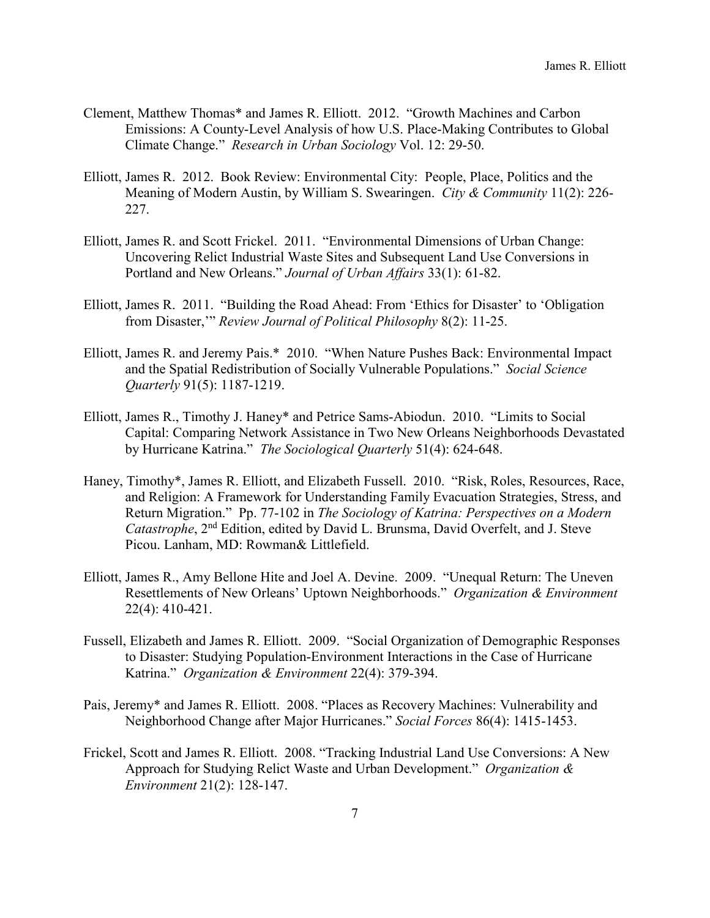- Clement, Matthew Thomas\* and James R. Elliott. 2012. "Growth Machines and Carbon Emissions: A County-Level Analysis of how U.S. Place-Making Contributes to Global Climate Change." *Research in Urban Sociology* Vol. 12: 29-50.
- Elliott, James R. 2012. Book Review: Environmental City: People, Place, Politics and the Meaning of Modern Austin, by William S. Swearingen. *City & Community* 11(2): 226- 227.
- Elliott, James R. and Scott Frickel. 2011. "Environmental Dimensions of Urban Change: Uncovering Relict Industrial Waste Sites and Subsequent Land Use Conversions in Portland and New Orleans." *Journal of Urban Affairs* 33(1): 61-82.
- Elliott, James R. 2011. "Building the Road Ahead: From 'Ethics for Disaster' to 'Obligation from Disaster,'" *Review Journal of Political Philosophy* 8(2): 11-25.
- Elliott, James R. and Jeremy Pais.\* 2010. "When Nature Pushes Back: Environmental Impact and the Spatial Redistribution of Socially Vulnerable Populations." *Social Science Quarterly* 91(5): 1187-1219.
- Elliott, James R., Timothy J. Haney\* and Petrice Sams-Abiodun. 2010. "Limits to Social Capital: Comparing Network Assistance in Two New Orleans Neighborhoods Devastated by Hurricane Katrina." *The Sociological Quarterly* 51(4): 624-648.
- Haney, Timothy\*, James R. Elliott, and Elizabeth Fussell. 2010. "Risk, Roles, Resources, Race, and Religion: A Framework for Understanding Family Evacuation Strategies, Stress, and Return Migration." Pp. 77-102 in *The Sociology of Katrina: Perspectives on a Modern Catastrophe*, 2<sup>nd</sup> Edition, edited by David L. Brunsma, David Overfelt, and J. Steve Picou. Lanham, MD: Rowman& Littlefield.
- Elliott, James R., Amy Bellone Hite and Joel A. Devine. 2009. "Unequal Return: The Uneven Resettlements of New Orleans' Uptown Neighborhoods." *Organization & Environment* 22(4): 410-421.
- Fussell, Elizabeth and James R. Elliott. 2009. "Social Organization of Demographic Responses to Disaster: Studying Population-Environment Interactions in the Case of Hurricane Katrina." *Organization & Environment* 22(4): 379-394.
- Pais, Jeremy\* and James R. Elliott. 2008. "Places as Recovery Machines: Vulnerability and Neighborhood Change after Major Hurricanes." *Social Forces* 86(4): 1415-1453.
- Frickel, Scott and James R. Elliott. 2008. "Tracking Industrial Land Use Conversions: A New Approach for Studying Relict Waste and Urban Development." *Organization & Environment* 21(2): 128-147.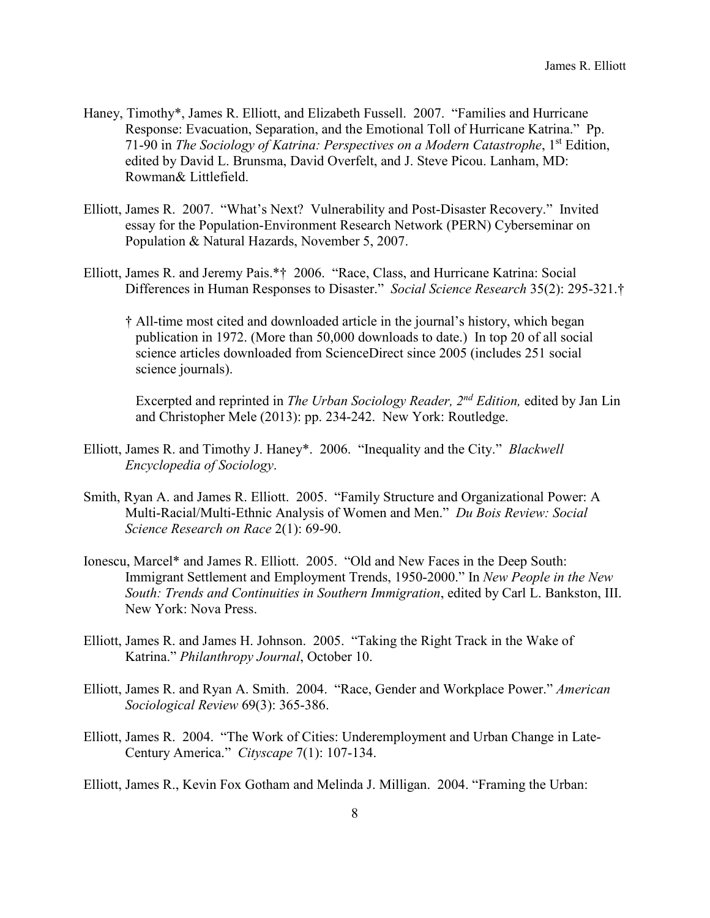- Haney, Timothy\*, James R. Elliott, and Elizabeth Fussell. 2007. "Families and Hurricane Response: Evacuation, Separation, and the Emotional Toll of Hurricane Katrina." Pp. 71-90 in *The Sociology of Katrina: Perspectives on a Modern Catastrophe*, 1st Edition, edited by David L. Brunsma, David Overfelt, and J. Steve Picou. Lanham, MD: Rowman& Littlefield.
- Elliott, James R. 2007. "What's Next? Vulnerability and Post-Disaster Recovery." Invited essay for the Population-Environment Research Network (PERN) Cyberseminar on Population & Natural Hazards, November 5, 2007.
- Elliott, James R. and Jeremy Pais.\*† 2006. "Race, Class, and Hurricane Katrina: Social Differences in Human Responses to Disaster." *Social Science Research* 35(2): 295-321.†
	- † All-time most cited and downloaded article in the journal's history, which began publication in 1972. (More than 50,000 downloads to date.) In top 20 of all social science articles downloaded from ScienceDirect since 2005 (includes 251 social science journals).

 Excerpted and reprinted in *The Urban Sociology Reader, 2nd Edition,* edited by Jan Lin and Christopher Mele (2013): pp. 234-242. New York: Routledge.

- Elliott, James R. and Timothy J. Haney\*. 2006. "Inequality and the City." *Blackwell Encyclopedia of Sociology*.
- Smith, Ryan A. and James R. Elliott. 2005. "Family Structure and Organizational Power: A Multi-Racial/Multi-Ethnic Analysis of Women and Men." *Du Bois Review: Social Science Research on Race* 2(1): 69-90.
- Ionescu, Marcel\* and James R. Elliott. 2005. "Old and New Faces in the Deep South: Immigrant Settlement and Employment Trends, 1950-2000." In *New People in the New South: Trends and Continuities in Southern Immigration*, edited by Carl L. Bankston, III. New York: Nova Press.
- Elliott, James R. and James H. Johnson. 2005. "Taking the Right Track in the Wake of Katrina." *Philanthropy Journal*, October 10.
- Elliott, James R. and Ryan A. Smith. 2004. "Race, Gender and Workplace Power." *American Sociological Review* 69(3): 365-386.
- Elliott, James R. 2004. "The Work of Cities: Underemployment and Urban Change in Late-Century America." *Cityscape* 7(1): 107-134.
- Elliott, James R., Kevin Fox Gotham and Melinda J. Milligan. 2004. "Framing the Urban: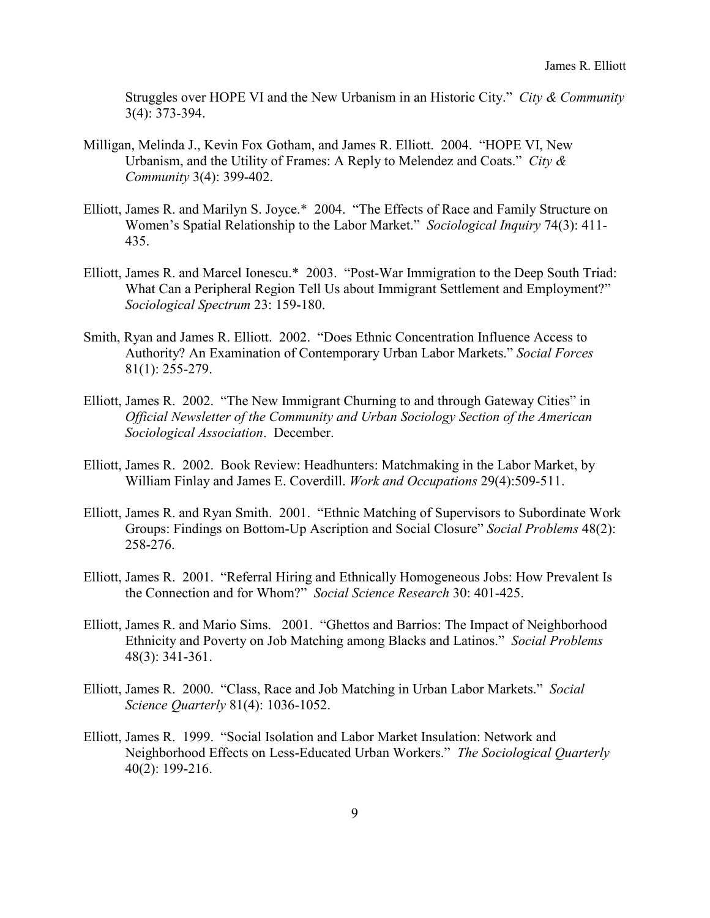Struggles over HOPE VI and the New Urbanism in an Historic City." *City & Community* 3(4): 373-394.

- Milligan, Melinda J., Kevin Fox Gotham, and James R. Elliott. 2004. "HOPE VI, New Urbanism, and the Utility of Frames: A Reply to Melendez and Coats." *City & Community* 3(4): 399-402.
- Elliott, James R. and Marilyn S. Joyce.\* 2004. "The Effects of Race and Family Structure on Women's Spatial Relationship to the Labor Market." *Sociological Inquiry* 74(3): 411- 435.
- Elliott, James R. and Marcel Ionescu.\* 2003. "Post-War Immigration to the Deep South Triad: What Can a Peripheral Region Tell Us about Immigrant Settlement and Employment?" *Sociological Spectrum* 23: 159-180.
- Smith, Ryan and James R. Elliott. 2002. "Does Ethnic Concentration Influence Access to Authority? An Examination of Contemporary Urban Labor Markets." *Social Forces* 81(1): 255-279.
- Elliott, James R. 2002. "The New Immigrant Churning to and through Gateway Cities" in *Official Newsletter of the Community and Urban Sociology Section of the American Sociological Association*. December.
- Elliott, James R. 2002. Book Review: Headhunters: Matchmaking in the Labor Market, by William Finlay and James E. Coverdill. *Work and Occupations* 29(4):509-511.
- Elliott, James R. and Ryan Smith. 2001. "Ethnic Matching of Supervisors to Subordinate Work Groups: Findings on Bottom-Up Ascription and Social Closure" *Social Problems* 48(2): 258-276.
- Elliott, James R. 2001. "Referral Hiring and Ethnically Homogeneous Jobs: How Prevalent Is the Connection and for Whom?" *Social Science Research* 30: 401-425.
- Elliott, James R. and Mario Sims. 2001. "Ghettos and Barrios: The Impact of Neighborhood Ethnicity and Poverty on Job Matching among Blacks and Latinos." *Social Problems* 48(3): 341-361.
- Elliott, James R. 2000. "Class, Race and Job Matching in Urban Labor Markets." *Social Science Quarterly* 81(4): 1036-1052.
- Elliott, James R. 1999. "Social Isolation and Labor Market Insulation: Network and Neighborhood Effects on Less-Educated Urban Workers." *The Sociological Quarterly* 40(2): 199-216.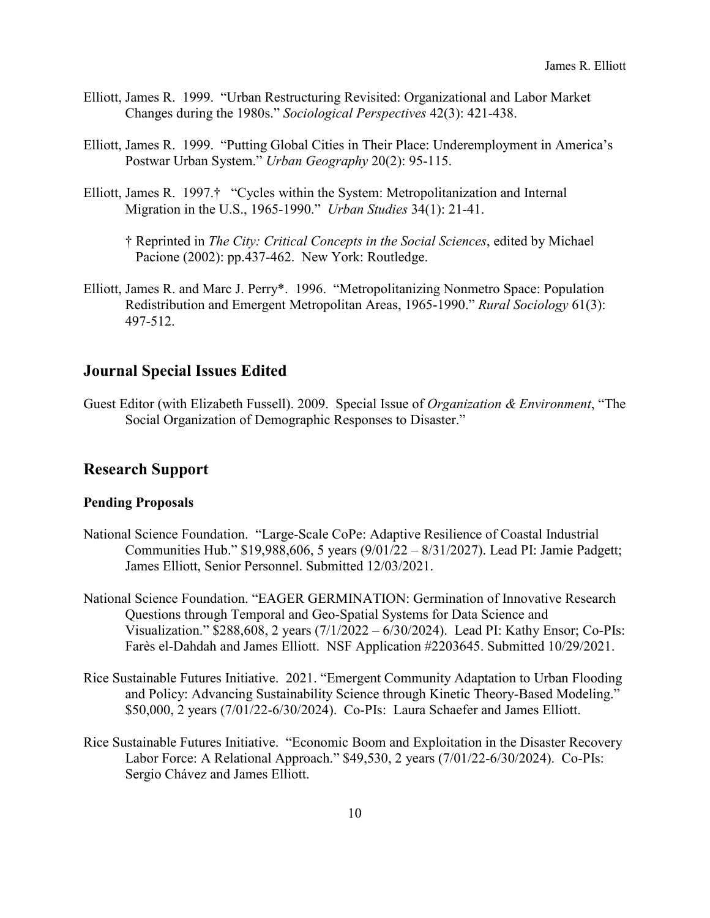- Elliott, James R. 1999. "Urban Restructuring Revisited: Organizational and Labor Market Changes during the 1980s." *Sociological Perspectives* 42(3): 421-438.
- Elliott, James R. 1999. "Putting Global Cities in Their Place: Underemployment in America's Postwar Urban System." *Urban Geography* 20(2): 95-115.
- Elliott, James R. 1997.† "Cycles within the System: Metropolitanization and Internal Migration in the U.S., 1965-1990." *Urban Studies* 34(1): 21-41.
	- † Reprinted in *The City: Critical Concepts in the Social Sciences*, edited by Michael Pacione (2002): pp.437-462. New York: Routledge.
- Elliott, James R. and Marc J. Perry\*. 1996. "Metropolitanizing Nonmetro Space: Population Redistribution and Emergent Metropolitan Areas, 1965-1990." *Rural Sociology* 61(3): 497-512.

### **Journal Special Issues Edited**

Guest Editor (with Elizabeth Fussell). 2009. Special Issue of *Organization & Environment*, "The Social Organization of Demographic Responses to Disaster."

#### **Research Support**

#### **Pending Proposals**

- National Science Foundation. "Large-Scale CoPe: Adaptive Resilience of Coastal Industrial Communities Hub." \$19,988,606, 5 years (9/01/22 – 8/31/2027). Lead PI: Jamie Padgett; James Elliott, Senior Personnel. Submitted 12/03/2021.
- National Science Foundation. "EAGER GERMINATION: Germination of Innovative Research Questions through Temporal and Geo-Spatial Systems for Data Science and Visualization." \$288,608, 2 years (7/1/2022 – 6/30/2024). Lead PI: Kathy Ensor; Co-PIs: Farès el-Dahdah and James Elliott. NSF Application #2203645. Submitted 10/29/2021.
- Rice Sustainable Futures Initiative. 2021. "Emergent Community Adaptation to Urban Flooding and Policy: Advancing Sustainability Science through Kinetic Theory-Based Modeling." \$50,000, 2 years (7/01/22-6/30/2024). Co-PIs: Laura Schaefer and James Elliott.
- Rice Sustainable Futures Initiative. "Economic Boom and Exploitation in the Disaster Recovery Labor Force: A Relational Approach." \$49,530, 2 years (7/01/22-6/30/2024). Co-PIs: Sergio Chávez and James Elliott.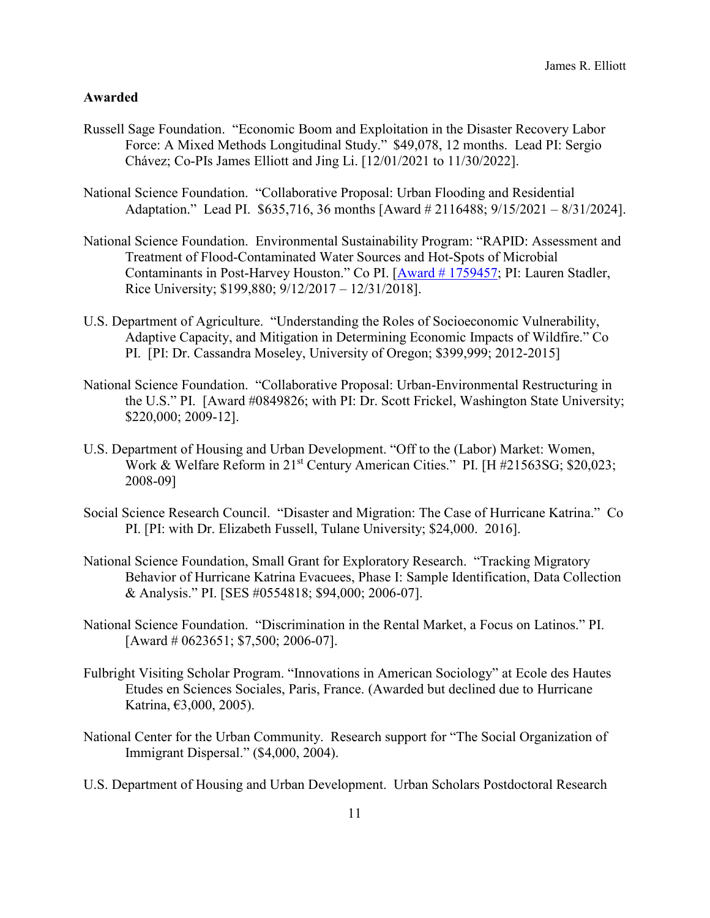#### **Awarded**

- Russell Sage Foundation. "Economic Boom and Exploitation in the Disaster Recovery Labor Force: A Mixed Methods Longitudinal Study." \$49,078, 12 months. Lead PI: Sergio Chávez; Co-PIs James Elliott and Jing Li. [12/01/2021 to 11/30/2022].
- National Science Foundation. "Collaborative Proposal: Urban Flooding and Residential Adaptation." Lead PI. \$635,716, 36 months [Award # 2116488; 9/15/2021 – 8/31/2024].
- National Science Foundation. Environmental Sustainability Program: "RAPID: Assessment and Treatment of Flood-Contaminated Water Sources and Hot-Spots of Microbial Contaminants in Post-Harvey Houston." Co PI. [Award # [1759457;](https://www.nsf.gov/awardsearch/showAward?AWD_ID=1759457&HistoricalAwards=false) PI: Lauren Stadler, Rice University; \$199,880; 9/12/2017 – 12/31/2018].
- U.S. Department of Agriculture. "Understanding the Roles of Socioeconomic Vulnerability, Adaptive Capacity, and Mitigation in Determining Economic Impacts of Wildfire." Co PI. [PI: Dr. Cassandra Moseley, University of Oregon; \$399,999; 2012-2015]
- National Science Foundation. "Collaborative Proposal: Urban-Environmental Restructuring in the U.S." PI. [Award #0849826; with PI: Dr. Scott Frickel, Washington State University; \$220,000; 2009-12].
- U.S. Department of Housing and Urban Development. "Off to the (Labor) Market: Women, Work & Welfare Reform in 21<sup>st</sup> Century American Cities." PI. [H #21563SG; \$20,023; 2008-09]
- Social Science Research Council. "Disaster and Migration: The Case of Hurricane Katrina." Co PI. [PI: with Dr. Elizabeth Fussell, Tulane University; \$24,000. 2016].
- National Science Foundation, Small Grant for Exploratory Research. "Tracking Migratory Behavior of Hurricane Katrina Evacuees, Phase I: Sample Identification, Data Collection & Analysis." PI. [SES #0554818; \$94,000; 2006-07].
- National Science Foundation. "Discrimination in the Rental Market, a Focus on Latinos." PI. [Award # 0623651; \$7,500; 2006-07].
- Fulbright Visiting Scholar Program. "Innovations in American Sociology" at Ecole des Hautes Etudes en Sciences Sociales, Paris, France. (Awarded but declined due to Hurricane Katrina, €3,000, 2005).
- National Center for the Urban Community. Research support for "The Social Organization of Immigrant Dispersal." (\$4,000, 2004).
- U.S. Department of Housing and Urban Development. Urban Scholars Postdoctoral Research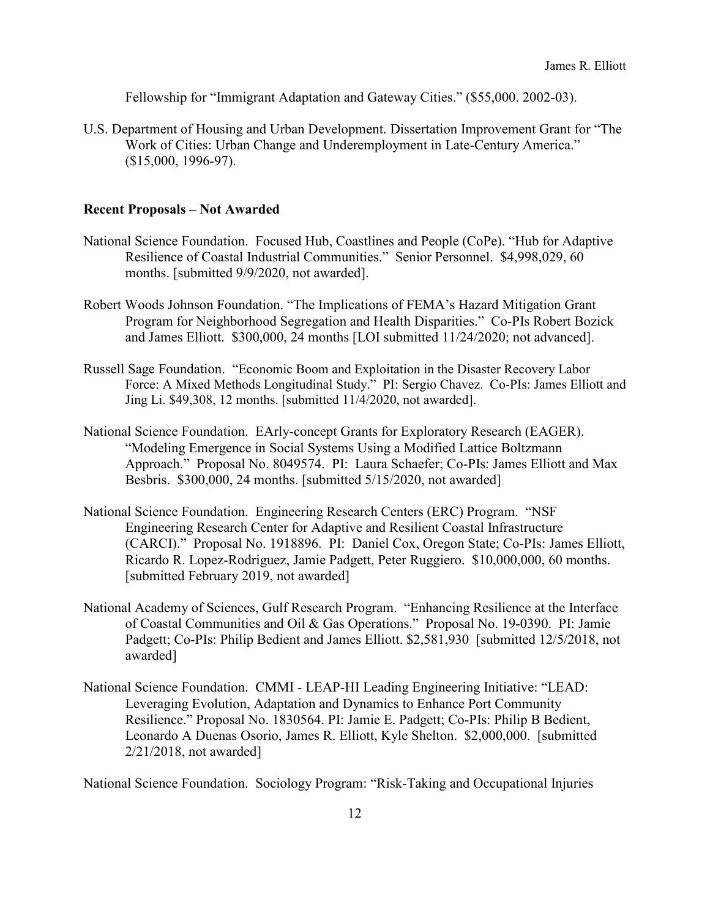Fellowship for "Immigrant Adaptation and Gateway Cities." (\$55,000. 2002-03).

U.S. Department of Housing and Urban Development. Dissertation Improvement Grant for "The Work of Cities: Urban Change and Underemployment in Late-Century America." (\$15,000, 1996-97).

#### **Recent Proposals – Not Awarded**

- National Science Foundation. Focused Hub, Coastlines and People (CoPe). "Hub for Adaptive Resilience of Coastal Industrial Communities." Senior Personnel. \$4,998,029, 60 months. [submitted 9/9/2020, not awarded].
- Robert Woods Johnson Foundation. "The Implications of FEMA's Hazard Mitigation Grant Program for Neighborhood Segregation and Health Disparities." Co-PIs Robert Bozick and James Elliott. \$300,000, 24 months [LOI submitted 11/24/2020; not advanced].
- Russell Sage Foundation. "Economic Boom and Exploitation in the Disaster Recovery Labor Force: A Mixed Methods Longitudinal Study." PI: Sergio Chavez. Co-PIs: James Elliott and Jing Li. \$49,308, 12 months. [submitted 11/4/2020, not awarded].
- National Science Foundation. EArly-concept Grants for Exploratory Research (EAGER). "Modeling Emergence in Social Systems Using a Modified Lattice Boltzmann Approach." Proposal No. 8049574. PI: Laura Schaefer; Co-PIs: James Elliott and Max Besbris. \$300,000, 24 months. [submitted 5/15/2020, not awarded]
- National Science Foundation. Engineering Research Centers (ERC) Program. "NSF Engineering Research Center for Adaptive and Resilient Coastal Infrastructure (CARCI)." Proposal No. 1918896. PI: Daniel Cox, Oregon State; Co-PIs: James Elliott, Ricardo R. Lopez-Rodriguez, Jamie Padgett, Peter Ruggiero. \$10,000,000, 60 months. [submitted February 2019, not awarded]
- National Academy of Sciences, Gulf Research Program. "Enhancing Resilience at the Interface of Coastal Communities and Oil & Gas Operations." Proposal No. 19-0390. PI: Jamie Padgett; Co-PIs: Philip Bedient and James Elliott. \$2,581,930 [submitted 12/5/2018, not awarded]
- National Science Foundation. CMMI LEAP-HI Leading Engineering Initiative: "LEAD: Leveraging Evolution, Adaptation and Dynamics to Enhance Port Community Resilience." Proposal No. 1830564. PI: Jamie E. Padgett; Co-PIs: Philip B Bedient, Leonardo A Duenas Osorio, James R. Elliott, Kyle Shelton. \$2,000,000. [submitted 2/21/2018, not awarded]

National Science Foundation. Sociology Program: "Risk-Taking and Occupational Injuries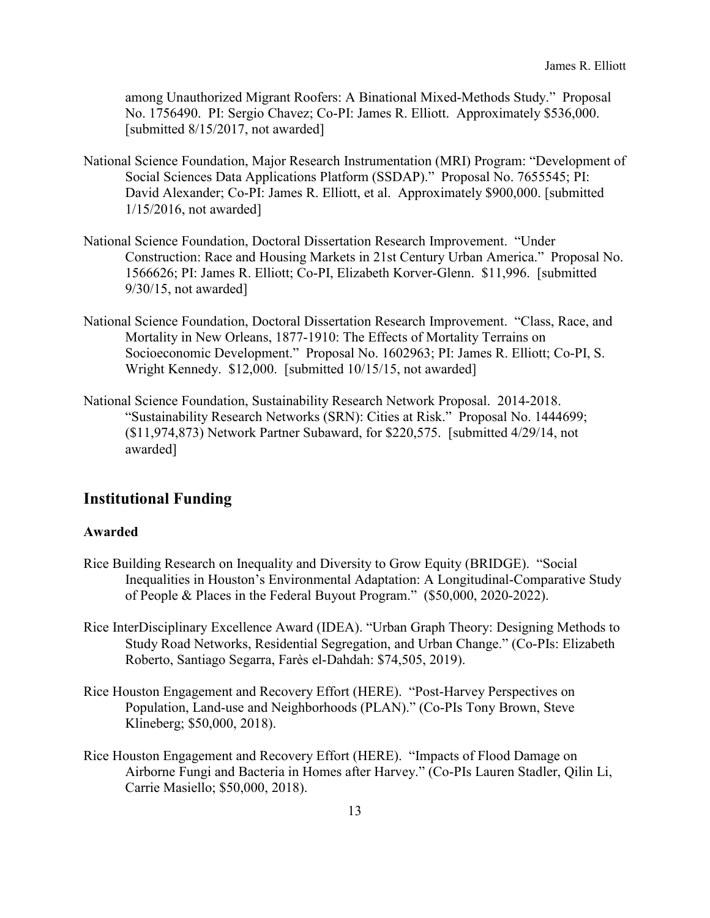among Unauthorized Migrant Roofers: A Binational Mixed-Methods Study." Proposal No. 1756490. PI: Sergio Chavez; Co-PI: James R. Elliott. Approximately \$536,000. [submitted 8/15/2017, not awarded]

- National Science Foundation, Major Research Instrumentation (MRI) Program: "Development of Social Sciences Data Applications Platform (SSDAP)." Proposal No. 7655545; PI: David Alexander; Co-PI: James R. Elliott, et al. Approximately \$900,000. [submitted 1/15/2016, not awarded]
- National Science Foundation, Doctoral Dissertation Research Improvement. "Under Construction: Race and Housing Markets in 21st Century Urban America." Proposal No. 1566626; PI: James R. Elliott; Co-PI, Elizabeth Korver-Glenn. \$11,996. [submitted 9/30/15, not awarded]
- National Science Foundation, Doctoral Dissertation Research Improvement. "Class, Race, and Mortality in New Orleans, 1877-1910: The Effects of Mortality Terrains on Socioeconomic Development." Proposal No. 1602963; PI: James R. Elliott; Co-PI, S. Wright Kennedy. \$12,000. [submitted 10/15/15, not awarded]
- National Science Foundation, Sustainability Research Network Proposal. 2014-2018. "Sustainability Research Networks (SRN): Cities at Risk." Proposal No. 1444699; (\$11,974,873) Network Partner Subaward, for \$220,575. [submitted 4/29/14, not awarded]

## **Institutional Funding**

#### **Awarded**

- Rice Building Research on Inequality and Diversity to Grow Equity (BRIDGE). "Social Inequalities in Houston's Environmental Adaptation: A Longitudinal-Comparative Study of People & Places in the Federal Buyout Program." (\$50,000, 2020-2022).
- Rice InterDisciplinary Excellence Award (IDEA). "Urban Graph Theory: Designing Methods to Study Road Networks, Residential Segregation, and Urban Change." (Co-PIs: Elizabeth Roberto, Santiago Segarra, Farès el-Dahdah: \$74,505, 2019).
- Rice Houston Engagement and Recovery Effort (HERE). "Post-Harvey Perspectives on Population, Land-use and Neighborhoods (PLAN)." (Co-PIs Tony Brown, Steve Klineberg; \$50,000, 2018).
- Rice Houston Engagement and Recovery Effort (HERE). "Impacts of Flood Damage on Airborne Fungi and Bacteria in Homes after Harvey." (Co-PIs Lauren Stadler, Qilin Li, Carrie Masiello; \$50,000, 2018).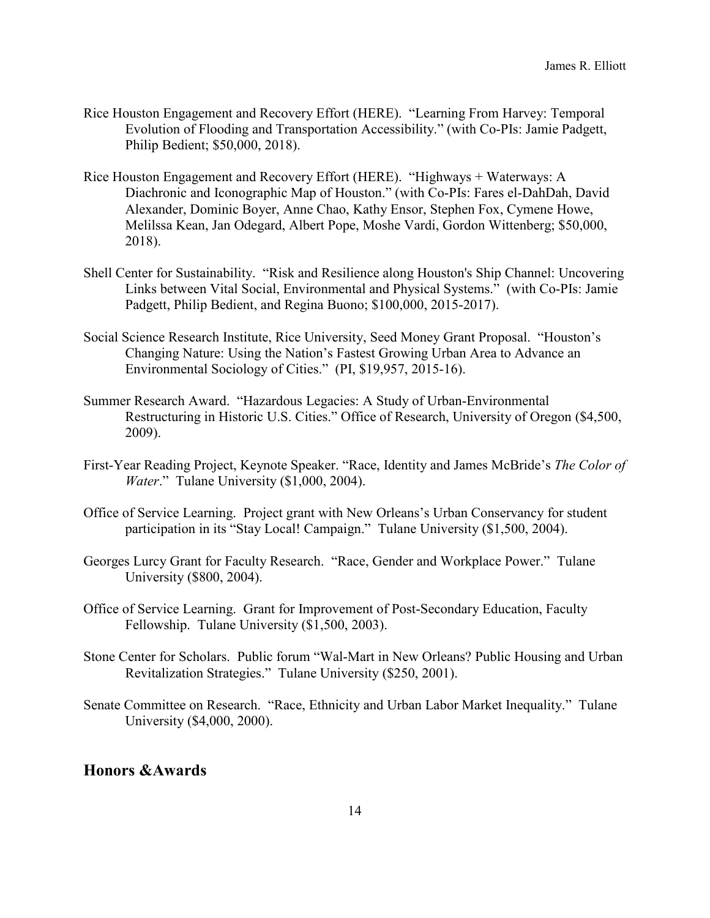- Rice Houston Engagement and Recovery Effort (HERE). "Learning From Harvey: Temporal Evolution of Flooding and Transportation Accessibility." (with Co-PIs: Jamie Padgett, Philip Bedient; \$50,000, 2018).
- Rice Houston Engagement and Recovery Effort (HERE). "Highways + Waterways: A Diachronic and Iconographic Map of Houston." (with Co-PIs: Fares el-DahDah, David Alexander, Dominic Boyer, Anne Chao, Kathy Ensor, Stephen Fox, Cymene Howe, Melilssa Kean, Jan Odegard, Albert Pope, Moshe Vardi, Gordon Wittenberg; \$50,000, 2018).
- Shell Center for Sustainability. "Risk and Resilience along Houston's Ship Channel: Uncovering Links between Vital Social, Environmental and Physical Systems." (with Co-PIs: Jamie Padgett, Philip Bedient, and Regina Buono; \$100,000, 2015-2017).
- Social Science Research Institute, Rice University, Seed Money Grant Proposal. "Houston's Changing Nature: Using the Nation's Fastest Growing Urban Area to Advance an Environmental Sociology of Cities." (PI, \$19,957, 2015-16).
- Summer Research Award. "Hazardous Legacies: A Study of Urban-Environmental Restructuring in Historic U.S. Cities." Office of Research, University of Oregon (\$4,500, 2009).
- First-Year Reading Project, Keynote Speaker. "Race, Identity and James McBride's *The Color of Water*." Tulane University (\$1,000, 2004).
- Office of Service Learning. Project grant with New Orleans's Urban Conservancy for student participation in its "Stay Local! Campaign." Tulane University (\$1,500, 2004).
- Georges Lurcy Grant for Faculty Research. "Race, Gender and Workplace Power." Tulane University (\$800, 2004).
- Office of Service Learning. Grant for Improvement of Post-Secondary Education, Faculty Fellowship. Tulane University (\$1,500, 2003).
- Stone Center for Scholars. Public forum "Wal-Mart in New Orleans? Public Housing and Urban Revitalization Strategies." Tulane University (\$250, 2001).
- Senate Committee on Research. "Race, Ethnicity and Urban Labor Market Inequality." Tulane University (\$4,000, 2000).

### **Honors &Awards**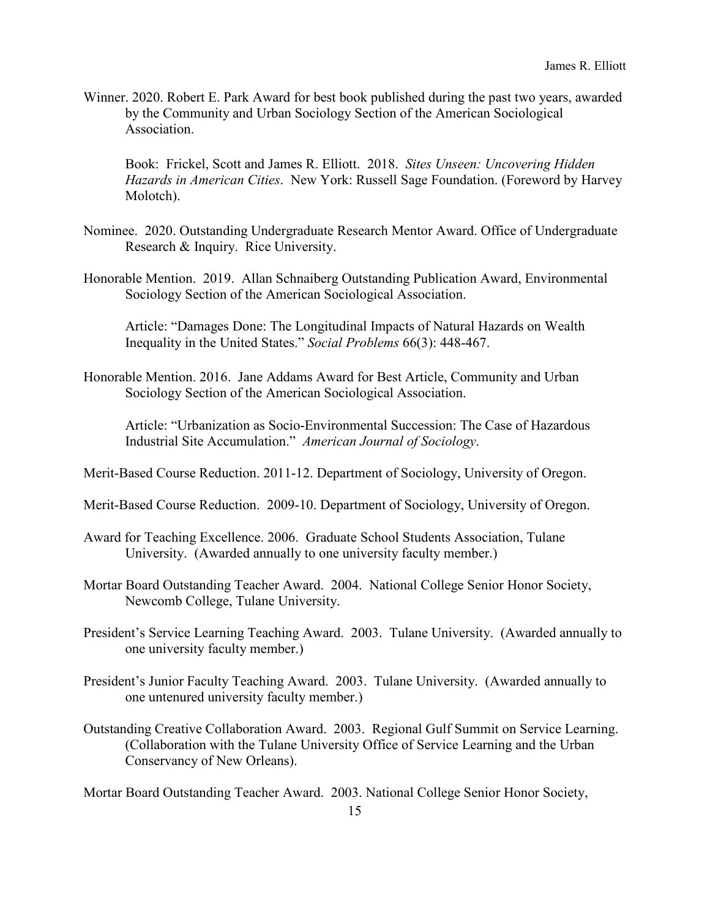Winner. 2020. Robert E. Park Award for best book published during the past two years, awarded by the Community and Urban Sociology Section of the American Sociological Association.

Book: Frickel, Scott and James R. Elliott. 2018. *Sites Unseen: Uncovering Hidden Hazards in American Cities*. New York: Russell Sage Foundation. (Foreword by Harvey Molotch).

- Nominee. 2020. Outstanding Undergraduate Research Mentor Award. Office of Undergraduate Research & Inquiry. Rice University.
- Honorable Mention. 2019. Allan Schnaiberg Outstanding Publication Award, Environmental Sociology Section of the American Sociological Association.

Article: "Damages Done: The Longitudinal Impacts of Natural Hazards on Wealth Inequality in the United States." *Social Problems* 66(3): 448-467.

Honorable Mention. 2016. Jane Addams Award for Best Article, Community and Urban Sociology Section of the American Sociological Association.

Article: "Urbanization as Socio-Environmental Succession: The Case of Hazardous Industrial Site Accumulation." *American Journal of Sociology*.

Merit-Based Course Reduction. 2011-12. Department of Sociology, University of Oregon.

- Merit-Based Course Reduction. 2009-10. Department of Sociology, University of Oregon.
- Award for Teaching Excellence. 2006. Graduate School Students Association, Tulane University. (Awarded annually to one university faculty member.)
- Mortar Board Outstanding Teacher Award. 2004. National College Senior Honor Society, Newcomb College, Tulane University.
- President's Service Learning Teaching Award. 2003. Tulane University. (Awarded annually to one university faculty member.)
- President's Junior Faculty Teaching Award. 2003. Tulane University. (Awarded annually to one untenured university faculty member.)
- Outstanding Creative Collaboration Award. 2003. Regional Gulf Summit on Service Learning. (Collaboration with the Tulane University Office of Service Learning and the Urban Conservancy of New Orleans).

Mortar Board Outstanding Teacher Award. 2003. National College Senior Honor Society,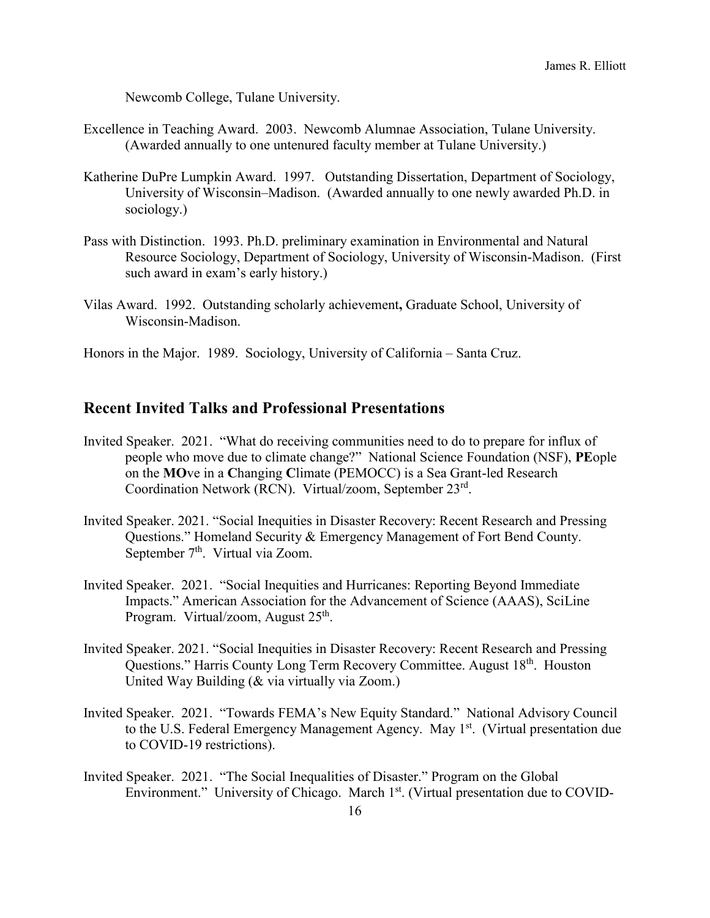Newcomb College, Tulane University.

- Excellence in Teaching Award. 2003. Newcomb Alumnae Association, Tulane University. (Awarded annually to one untenured faculty member at Tulane University.)
- Katherine DuPre Lumpkin Award. 1997. Outstanding Dissertation, Department of Sociology, University of Wisconsin–Madison. (Awarded annually to one newly awarded Ph.D. in sociology.)
- Pass with Distinction. 1993. Ph.D. preliminary examination in Environmental and Natural Resource Sociology, Department of Sociology, University of Wisconsin-Madison. (First such award in exam's early history.)
- Vilas Award. 1992. Outstanding scholarly achievement**,** Graduate School, University of Wisconsin-Madison.
- Honors in the Major. 1989. Sociology, University of California Santa Cruz.

### **Recent Invited Talks and Professional Presentations**

- Invited Speaker. 2021. "What do receiving communities need to do to prepare for influx of people who move due to climate change?" National Science Foundation (NSF), **PE**ople on the **MO**ve in a **C**hanging **C**limate (PEMOCC) is a Sea Grant-led Research Coordination Network (RCN). Virtual/zoom, September 23rd.
- Invited Speaker. 2021. "Social Inequities in Disaster Recovery: Recent Research and Pressing Questions." Homeland Security & Emergency Management of Fort Bend County. September 7<sup>th</sup>. Virtual via Zoom.
- Invited Speaker. 2021. "Social Inequities and Hurricanes: Reporting Beyond Immediate Impacts." American Association for the Advancement of Science (AAAS), SciLine Program. Virtual/zoom, August  $25<sup>th</sup>$ .
- Invited Speaker. 2021. "Social Inequities in Disaster Recovery: Recent Research and Pressing Questions." Harris County Long Term Recovery Committee. August 18<sup>th</sup>. Houston United Way Building (& via virtually via Zoom.)
- Invited Speaker. 2021. "Towards FEMA's New Equity Standard." National Advisory Council to the U.S. Federal Emergency Management Agency. May 1<sup>st</sup>. (Virtual presentation due to COVID-19 restrictions).
- Invited Speaker. 2021. "The Social Inequalities of Disaster." Program on the Global Environment." University of Chicago. March 1<sup>st</sup>. (Virtual presentation due to COVID-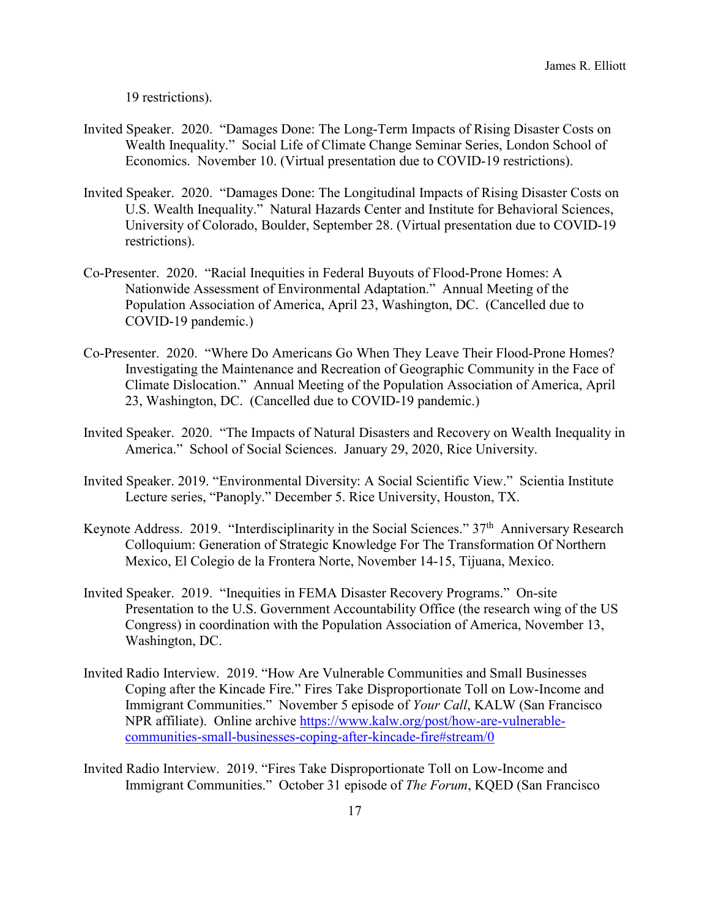19 restrictions).

- Invited Speaker. 2020. "Damages Done: The Long-Term Impacts of Rising Disaster Costs on Wealth Inequality." Social Life of Climate Change Seminar Series, London School of Economics. November 10. (Virtual presentation due to COVID-19 restrictions).
- Invited Speaker. 2020. "Damages Done: The Longitudinal Impacts of Rising Disaster Costs on U.S. Wealth Inequality." Natural Hazards Center and Institute for Behavioral Sciences, University of Colorado, Boulder, September 28. (Virtual presentation due to COVID-19 restrictions).
- Co-Presenter. 2020. "Racial Inequities in Federal Buyouts of Flood-Prone Homes: A Nationwide Assessment of Environmental Adaptation." Annual Meeting of the Population Association of America, April 23, Washington, DC. (Cancelled due to COVID-19 pandemic.)
- Co-Presenter. 2020. "Where Do Americans Go When They Leave Their Flood-Prone Homes? Investigating the Maintenance and Recreation of Geographic Community in the Face of Climate Dislocation." Annual Meeting of the Population Association of America, April 23, Washington, DC. (Cancelled due to COVID-19 pandemic.)
- Invited Speaker. 2020. "The Impacts of Natural Disasters and Recovery on Wealth Inequality in America." School of Social Sciences. January 29, 2020, Rice University.
- Invited Speaker. 2019. "Environmental Diversity: A Social Scientific View." Scientia Institute Lecture series, "Panoply." December 5. Rice University, Houston, TX.
- Keynote Address. 2019. "Interdisciplinarity in the Social Sciences."  $37<sup>th</sup>$  Anniversary Research Colloquium: Generation of Strategic Knowledge For The Transformation Of Northern Mexico, El Colegio de la Frontera Norte, November 14-15, Tijuana, Mexico.
- Invited Speaker. 2019. "Inequities in FEMA Disaster Recovery Programs." On-site Presentation to the U.S. Government Accountability Office (the research wing of the US Congress) in coordination with the Population Association of America, November 13, Washington, DC.
- Invited Radio Interview. 2019. "How Are Vulnerable Communities and Small Businesses Coping after the Kincade Fire." Fires Take Disproportionate Toll on Low-Income and Immigrant Communities." November 5 episode of *Your Call*, KALW (San Francisco NPR affiliate). Online archive [https://www.kalw.org/post/how-are-vulnerable](https://www.kalw.org/post/how-are-vulnerable-communities-small-businesses-coping-after-kincade-fire#stream/0)[communities-small-businesses-coping-after-kincade-fire#stream/0](https://www.kalw.org/post/how-are-vulnerable-communities-small-businesses-coping-after-kincade-fire#stream/0)
- Invited Radio Interview. 2019. "Fires Take Disproportionate Toll on Low-Income and Immigrant Communities." October 31 episode of *The Forum*, KQED (San Francisco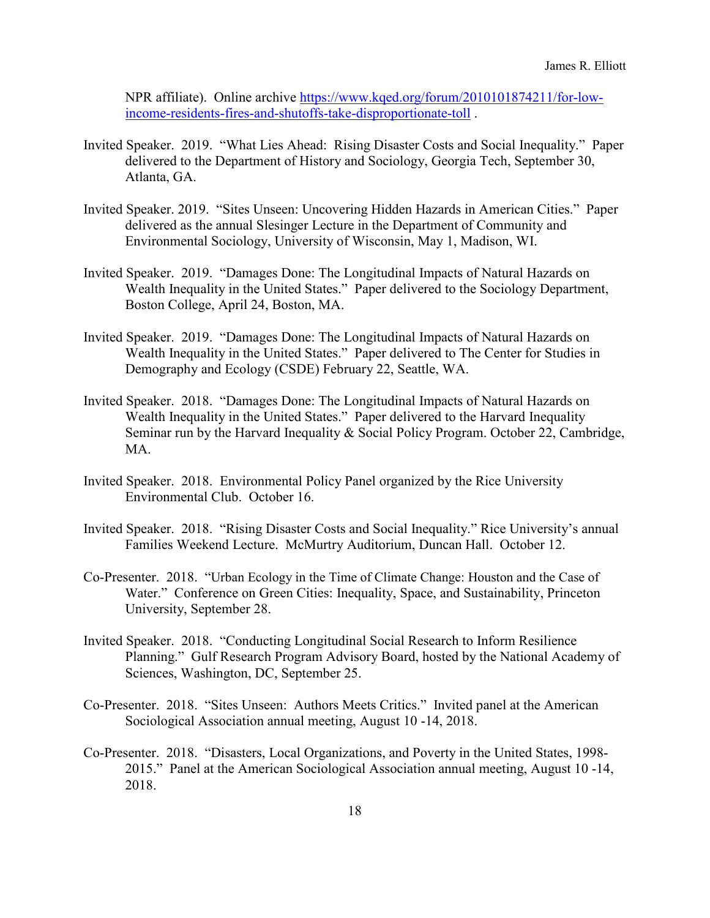NPR affiliate). Online archive [https://www.kqed.org/forum/2010101874211/for-low](https://www.kqed.org/forum/2010101874211/for-low-income-residents-fires-and-shutoffs-take-disproportionate-toll)[income-residents-fires-and-shutoffs-take-disproportionate-toll](https://www.kqed.org/forum/2010101874211/for-low-income-residents-fires-and-shutoffs-take-disproportionate-toll) .

- Invited Speaker. 2019. "What Lies Ahead: Rising Disaster Costs and Social Inequality." Paper delivered to the Department of History and Sociology, Georgia Tech, September 30, Atlanta, GA.
- Invited Speaker. 2019. "Sites Unseen: Uncovering Hidden Hazards in American Cities." Paper delivered as the annual Slesinger Lecture in the Department of Community and Environmental Sociology, University of Wisconsin, May 1, Madison, WI.
- Invited Speaker. 2019. "Damages Done: The Longitudinal Impacts of Natural Hazards on Wealth Inequality in the United States." Paper delivered to the Sociology Department, Boston College, April 24, Boston, MA.
- Invited Speaker. 2019. "Damages Done: The Longitudinal Impacts of Natural Hazards on Wealth Inequality in the United States." Paper delivered to The Center for Studies in Demography and Ecology (CSDE) February 22, Seattle, WA.
- Invited Speaker. 2018. "Damages Done: The Longitudinal Impacts of Natural Hazards on Wealth Inequality in the United States." Paper delivered to the Harvard Inequality Seminar run by the Harvard Inequality & Social Policy Program. October 22, Cambridge, MA.
- Invited Speaker. 2018. Environmental Policy Panel organized by the Rice University Environmental Club. October 16.
- Invited Speaker. 2018. "Rising Disaster Costs and Social Inequality." Rice University's annual Families Weekend Lecture. McMurtry Auditorium, Duncan Hall. October 12.
- Co-Presenter. 2018. "Urban Ecology in the Time of Climate Change: Houston and the Case of Water." Conference on Green Cities: Inequality, Space, and Sustainability, Princeton University, September 28.
- Invited Speaker. 2018. "Conducting Longitudinal Social Research to Inform Resilience Planning." Gulf Research Program Advisory Board, hosted by the National Academy of Sciences, Washington, DC, September 25.
- Co-Presenter. 2018. "Sites Unseen: Authors Meets Critics." Invited panel at the American Sociological Association annual meeting, August 10 -14, 2018.
- Co-Presenter. 2018. "Disasters, Local Organizations, and Poverty in the United States, 1998- 2015." Panel at the American Sociological Association annual meeting, August 10 -14, 2018.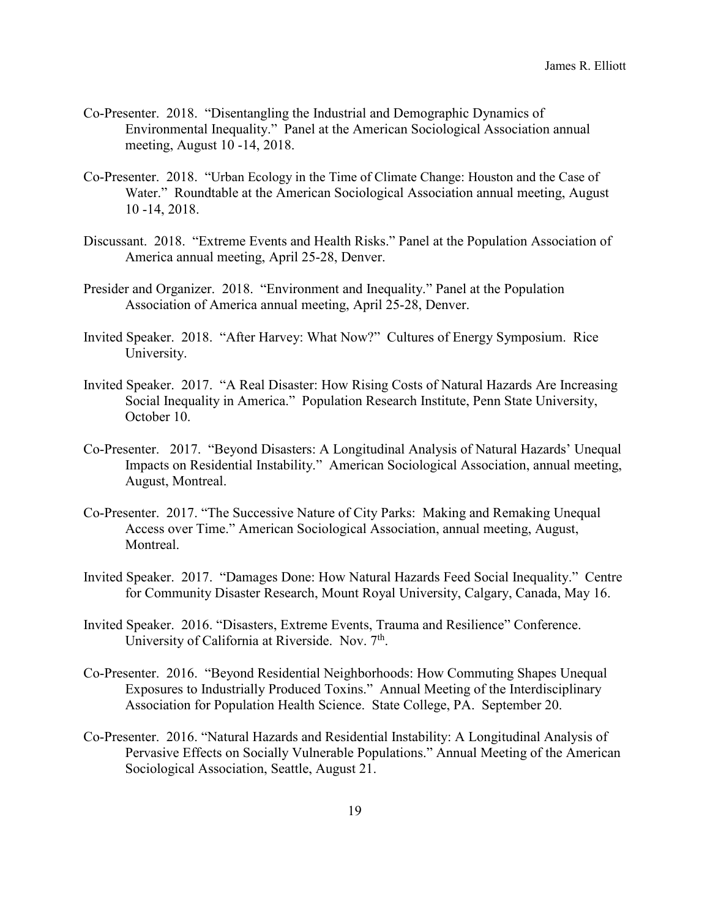- Co-Presenter. 2018. "Disentangling the Industrial and Demographic Dynamics of Environmental Inequality." Panel at the American Sociological Association annual meeting, August 10 -14, 2018.
- Co-Presenter. 2018. "Urban Ecology in the Time of Climate Change: Houston and the Case of Water." Roundtable at the American Sociological Association annual meeting, August 10 -14, 2018.
- Discussant. 2018. "Extreme Events and Health Risks." Panel at the Population Association of America annual meeting, April 25-28, Denver.
- Presider and Organizer. 2018. "Environment and Inequality." Panel at the Population Association of America annual meeting, April 25-28, Denver.
- Invited Speaker. 2018. "After Harvey: What Now?" Cultures of Energy Symposium. Rice University.
- Invited Speaker. 2017. "A Real Disaster: How Rising Costs of Natural Hazards Are Increasing Social Inequality in America." Population Research Institute, Penn State University, October 10.
- Co-Presenter. 2017. "Beyond Disasters: A Longitudinal Analysis of Natural Hazards' Unequal Impacts on Residential Instability." American Sociological Association, annual meeting, August, Montreal.
- Co-Presenter. 2017. "The Successive Nature of City Parks: Making and Remaking Unequal Access over Time." American Sociological Association, annual meeting, August, Montreal.
- Invited Speaker. 2017. "Damages Done: How Natural Hazards Feed Social Inequality." Centre for Community Disaster Research, Mount Royal University, Calgary, Canada, May 16.
- Invited Speaker. 2016. "Disasters, Extreme Events, Trauma and Resilience" Conference. University of California at Riverside. Nov. 7<sup>th</sup>.
- Co-Presenter. 2016. "Beyond Residential Neighborhoods: How Commuting Shapes Unequal Exposures to Industrially Produced Toxins." Annual Meeting of the Interdisciplinary Association for Population Health Science. State College, PA. September 20.
- Co-Presenter. 2016. "Natural Hazards and Residential Instability: A Longitudinal Analysis of Pervasive Effects on Socially Vulnerable Populations." Annual Meeting of the American Sociological Association, Seattle, August 21.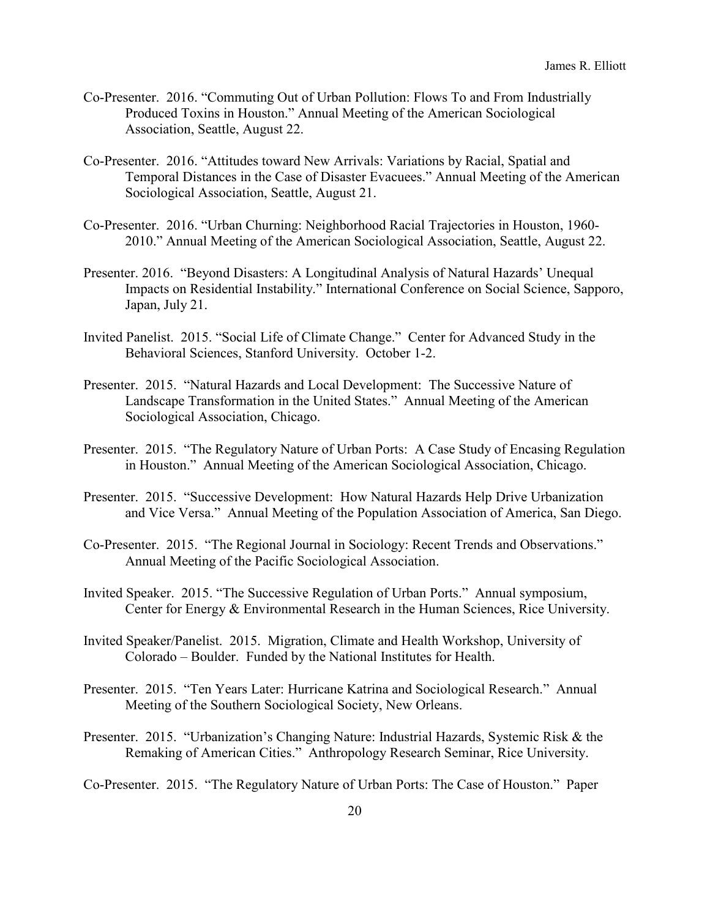- Co-Presenter. 2016. "Commuting Out of Urban Pollution: Flows To and From Industrially Produced Toxins in Houston." Annual Meeting of the American Sociological Association, Seattle, August 22.
- Co-Presenter. 2016. "Attitudes toward New Arrivals: Variations by Racial, Spatial and Temporal Distances in the Case of Disaster Evacuees." Annual Meeting of the American Sociological Association, Seattle, August 21.
- Co-Presenter. 2016. "Urban Churning: Neighborhood Racial Trajectories in Houston, 1960- 2010." Annual Meeting of the American Sociological Association, Seattle, August 22.
- Presenter. 2016. "Beyond Disasters: A Longitudinal Analysis of Natural Hazards' Unequal Impacts on Residential Instability." International Conference on Social Science, Sapporo, Japan, July 21.
- Invited Panelist. 2015. "Social Life of Climate Change." Center for Advanced Study in the Behavioral Sciences, Stanford University. October 1-2.
- Presenter. 2015. "Natural Hazards and Local Development: The Successive Nature of Landscape Transformation in the United States." Annual Meeting of the American Sociological Association, Chicago.
- Presenter. 2015. "The Regulatory Nature of Urban Ports: A Case Study of Encasing Regulation in Houston." Annual Meeting of the American Sociological Association, Chicago.
- Presenter. 2015. "Successive Development: How Natural Hazards Help Drive Urbanization and Vice Versa." Annual Meeting of the Population Association of America, San Diego.
- Co-Presenter. 2015. "The Regional Journal in Sociology: Recent Trends and Observations." Annual Meeting of the Pacific Sociological Association.
- Invited Speaker. 2015. "The Successive Regulation of Urban Ports." Annual symposium, Center for Energy & Environmental Research in the Human Sciences, Rice University.
- Invited Speaker/Panelist. 2015. Migration, Climate and Health Workshop, University of Colorado – Boulder. Funded by the National Institutes for Health.
- Presenter. 2015. "Ten Years Later: Hurricane Katrina and Sociological Research." Annual Meeting of the Southern Sociological Society, New Orleans.
- Presenter. 2015. "Urbanization's Changing Nature: Industrial Hazards, Systemic Risk & the Remaking of American Cities." Anthropology Research Seminar, Rice University.
- Co-Presenter. 2015. "The Regulatory Nature of Urban Ports: The Case of Houston." Paper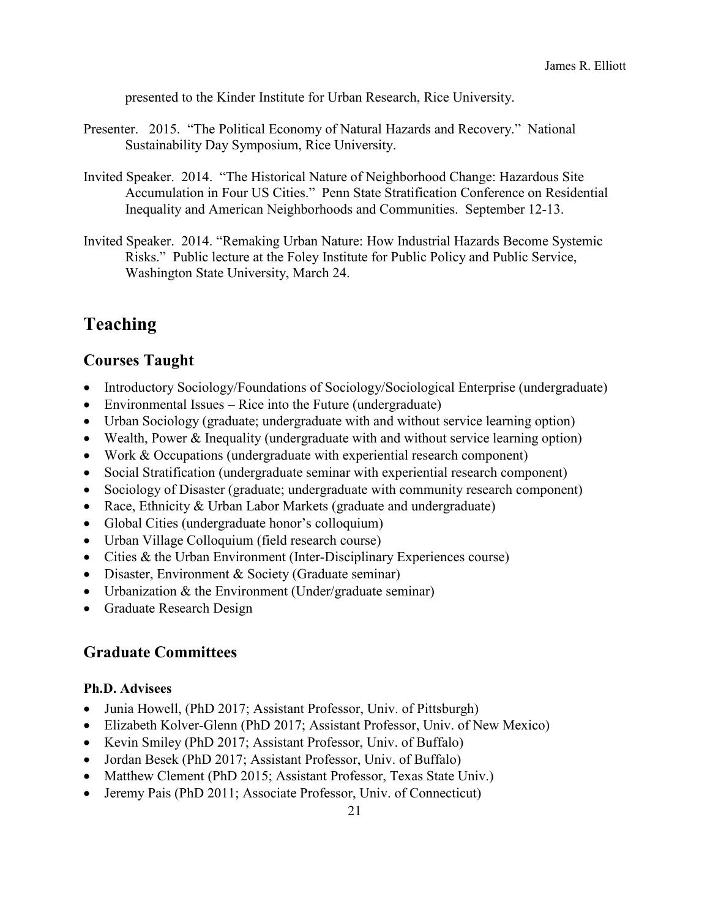presented to the Kinder Institute for Urban Research, Rice University.

- Presenter. 2015. "The Political Economy of Natural Hazards and Recovery." National Sustainability Day Symposium, Rice University.
- Invited Speaker. 2014. "The Historical Nature of Neighborhood Change: Hazardous Site Accumulation in Four US Cities." Penn State Stratification Conference on Residential Inequality and American Neighborhoods and Communities. September 12-13.
- Invited Speaker. 2014. "Remaking Urban Nature: How Industrial Hazards Become Systemic Risks." Public lecture at the Foley Institute for Public Policy and Public Service, Washington State University, March 24.

# **Teaching**

### **Courses Taught**

- Introductory Sociology/Foundations of Sociology/Sociological Enterprise (undergraduate)
- Environmental Issues Rice into the Future (undergraduate)
- Urban Sociology (graduate; undergraduate with and without service learning option)
- Wealth, Power & Inequality (undergraduate with and without service learning option)
- Work & Occupations (undergraduate with experiential research component)
- Social Stratification (undergraduate seminar with experiential research component)
- Sociology of Disaster (graduate; undergraduate with community research component)
- Race, Ethnicity & Urban Labor Markets (graduate and undergraduate)
- Global Cities (undergraduate honor's colloquium)
- Urban Village Colloquium (field research course)
- Cities & the Urban Environment (Inter-Disciplinary Experiences course)
- Disaster, Environment & Society (Graduate seminar)
- Urbanization & the Environment (Under/graduate seminar)
- Graduate Research Design

### **Graduate Committees**

#### **Ph.D. Advisees**

- Junia Howell, (PhD 2017; Assistant Professor, Univ. of Pittsburgh)
- Elizabeth Kolver-Glenn (PhD 2017; Assistant Professor, Univ. of New Mexico)
- Kevin Smiley (PhD 2017; Assistant Professor, Univ. of Buffalo)
- Jordan Besek (PhD 2017; Assistant Professor, Univ. of Buffalo)
- Matthew Clement (PhD 2015; Assistant Professor, Texas State Univ.)
- Jeremy Pais (PhD 2011; Associate Professor, Univ. of Connecticut)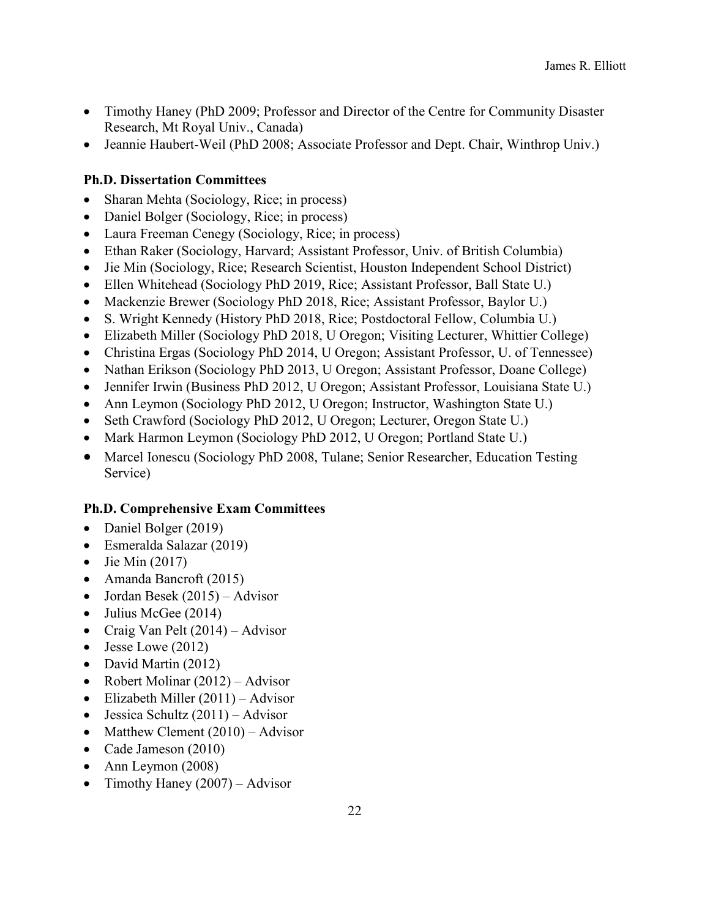- Timothy Haney (PhD 2009; Professor and Director of the Centre for Community Disaster Research, Mt Royal Univ., Canada)
- Jeannie Haubert-Weil (PhD 2008; Associate Professor and Dept. Chair, Winthrop Univ.)

### **Ph.D. Dissertation Committees**

- Sharan Mehta (Sociology, Rice; in process)
- Daniel Bolger (Sociology, Rice; in process)
- Laura Freeman Cenegy (Sociology, Rice; in process)
- Ethan Raker (Sociology, Harvard; Assistant Professor, Univ. of British Columbia)
- Jie Min (Sociology, Rice; Research Scientist, Houston Independent School District)
- Ellen Whitehead (Sociology PhD 2019, Rice; Assistant Professor, Ball State U.)
- Mackenzie Brewer (Sociology PhD 2018, Rice; Assistant Professor, Baylor U.)
- S. Wright Kennedy (History PhD 2018, Rice; Postdoctoral Fellow, Columbia U.)
- Elizabeth Miller (Sociology PhD 2018, U Oregon; Visiting Lecturer, Whittier College)
- Christina Ergas (Sociology PhD 2014, U Oregon; Assistant Professor, U. of Tennessee)
- Nathan Erikson (Sociology PhD 2013, U Oregon; Assistant Professor, Doane College)
- Jennifer Irwin (Business PhD 2012, U Oregon; Assistant Professor, Louisiana State U.)
- Ann Leymon (Sociology PhD 2012, U Oregon; Instructor, Washington State U.)
- Seth Crawford (Sociology PhD 2012, U Oregon; Lecturer, Oregon State U.)
- Mark Harmon Leymon (Sociology PhD 2012, U Oregon; Portland State U.)
- Marcel Ionescu (Sociology PhD 2008, Tulane; Senior Researcher, Education Testing Service)

#### **Ph.D. Comprehensive Exam Committees**

- Daniel Bolger (2019)
- Esmeralda Salazar (2019)
- Jie Min  $(2017)$
- Amanda Bancroft (2015)
- Jordan Besek (2015) Advisor
- Julius McGee (2014)
- Craig Van Pelt (2014) Advisor
- Jesse Lowe (2012)
- David Martin (2012)
- Robert Molinar  $(2012)$  Advisor
- Elizabeth Miller  $(2011)$  Advisor
- Jessica Schultz  $(2011)$  Advisor
- Matthew Clement  $(2010)$  Advisor
- Cade Jameson (2010)
- Ann Leymon (2008)
- Timothy Haney  $(2007)$  Advisor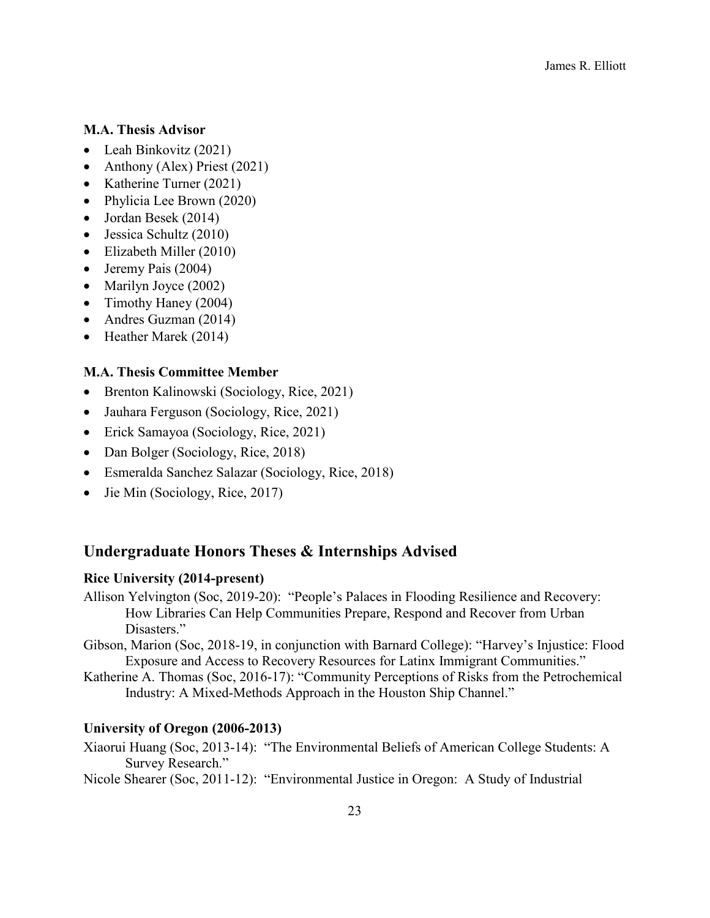#### **M.A. Thesis Advisor**

- Leah Binkovitz (2021)
- Anthony (Alex) Priest (2021)
- Katherine Turner (2021)
- Phylicia Lee Brown (2020)
- Jordan Besek (2014)
- Jessica Schultz (2010)
- Elizabeth Miller (2010)
- Jeremy Pais (2004)
- Marilyn Joyce (2002)
- Timothy Haney (2004)
- Andres Guzman (2014)
- Heather Marek (2014)

#### **M.A. Thesis Committee Member**

- Brenton Kalinowski (Sociology, Rice, 2021)
- Jauhara Ferguson (Sociology, Rice, 2021)
- Erick Samayoa (Sociology, Rice, 2021)
- Dan Bolger (Sociology, Rice, 2018)
- Esmeralda Sanchez Salazar (Sociology, Rice, 2018)
- Jie Min (Sociology, Rice, 2017)

### **Undergraduate Honors Theses & Internships Advised**

### **Rice University (2014-present)**

- Allison Yelvington (Soc, 2019-20): "People's Palaces in Flooding Resilience and Recovery: How Libraries Can Help Communities Prepare, Respond and Recover from Urban Disasters."
- Gibson, Marion (Soc, 2018-19, in conjunction with Barnard College): "Harvey's Injustice: Flood Exposure and Access to Recovery Resources for Latinx Immigrant Communities."
- Katherine A. Thomas (Soc, 2016-17): "Community Perceptions of Risks from the Petrochemical Industry: A Mixed-Methods Approach in the Houston Ship Channel."

#### **University of Oregon (2006-2013)**

- Xiaorui Huang (Soc, 2013-14): "The Environmental Beliefs of American College Students: A Survey Research."
- Nicole Shearer (Soc, 2011-12): "Environmental Justice in Oregon: A Study of Industrial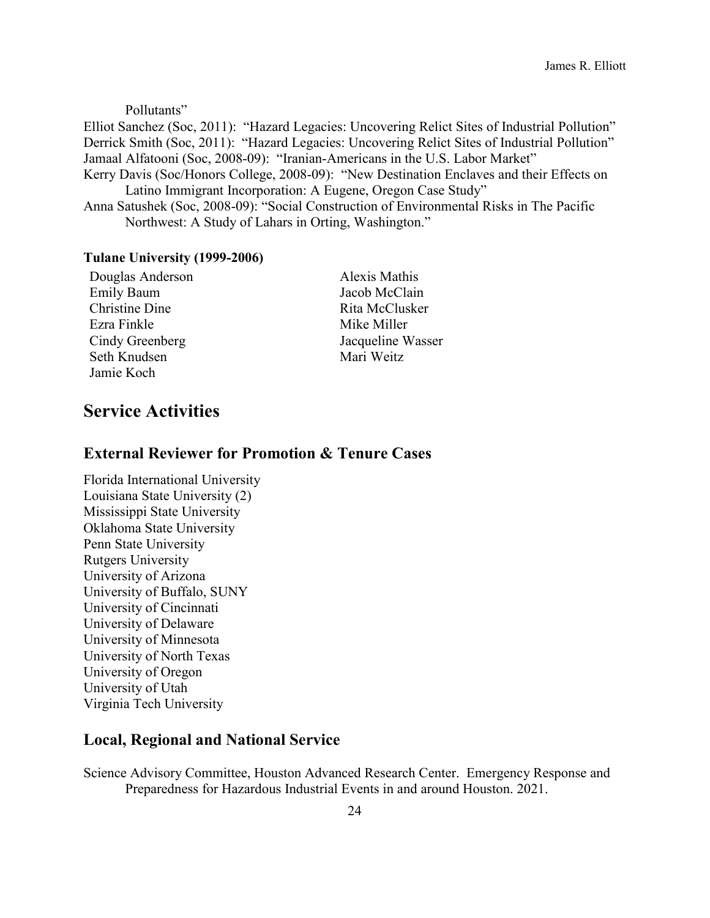Pollutants"

Elliot Sanchez (Soc, 2011): "Hazard Legacies: Uncovering Relict Sites of Industrial Pollution" Derrick Smith (Soc, 2011): "Hazard Legacies: Uncovering Relict Sites of Industrial Pollution" Jamaal Alfatooni (Soc, 2008-09): "Iranian-Americans in the U.S. Labor Market"

- Kerry Davis (Soc/Honors College, 2008-09): "New Destination Enclaves and their Effects on Latino Immigrant Incorporation: A Eugene, Oregon Case Study"
- Anna Satushek (Soc, 2008-09): "Social Construction of Environmental Risks in The Pacific Northwest: A Study of Lahars in Orting, Washington."

#### **Tulane University (1999-2006)**

| Douglas Anderson      |
|-----------------------|
| <b>Emily Baum</b>     |
| <b>Christine Dine</b> |
| Ezra Finkle           |
| Cindy Greenberg       |
| Seth Knudsen          |
| Jamie Koch            |

Alexis Mathis Jacob McClain Rita McClusker Mike Miller Jacqueline Wasser Mari Weitz

# **Service Activities**

### **External Reviewer for Promotion & Tenure Cases**

Florida International University Louisiana State University (2) Mississippi State University Oklahoma State University Penn State University Rutgers University University of Arizona University of Buffalo, SUNY University of Cincinnati University of Delaware University of Minnesota University of North Texas University of Oregon University of Utah Virginia Tech University

#### **Local, Regional and National Service**

Science Advisory Committee, Houston Advanced Research Center. Emergency Response and Preparedness for Hazardous Industrial Events in and around Houston. 2021.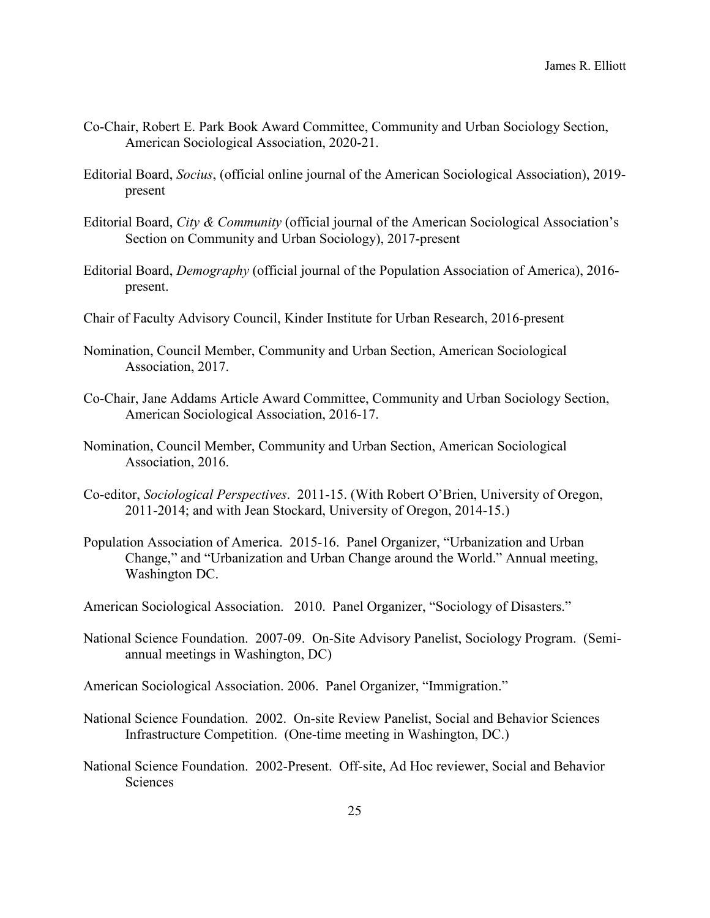- Co-Chair, Robert E. Park Book Award Committee, Community and Urban Sociology Section, American Sociological Association, 2020-21.
- Editorial Board, *Socius*, (official online journal of the American Sociological Association), 2019 present
- Editorial Board, *City & Community* (official journal of the American Sociological Association's Section on Community and Urban Sociology), 2017-present
- Editorial Board, *Demography* (official journal of the Population Association of America), 2016 present.
- Chair of Faculty Advisory Council, Kinder Institute for Urban Research, 2016-present
- Nomination, Council Member, Community and Urban Section, American Sociological Association, 2017.
- Co-Chair, Jane Addams Article Award Committee, Community and Urban Sociology Section, American Sociological Association, 2016-17.
- Nomination, Council Member, Community and Urban Section, American Sociological Association, 2016.
- Co-editor, *Sociological Perspectives*. 2011-15. (With Robert O'Brien, University of Oregon, 2011-2014; and with Jean Stockard, University of Oregon, 2014-15.)
- Population Association of America. 2015-16. Panel Organizer, "Urbanization and Urban Change," and "Urbanization and Urban Change around the World." Annual meeting, Washington DC.
- American Sociological Association. 2010. Panel Organizer, "Sociology of Disasters."
- National Science Foundation. 2007-09. On-Site Advisory Panelist, Sociology Program. (Semiannual meetings in Washington, DC)
- American Sociological Association. 2006. Panel Organizer, "Immigration."
- National Science Foundation. 2002. On-site Review Panelist, Social and Behavior Sciences Infrastructure Competition. (One-time meeting in Washington, DC.)
- National Science Foundation. 2002-Present. Off-site, Ad Hoc reviewer, Social and Behavior Sciences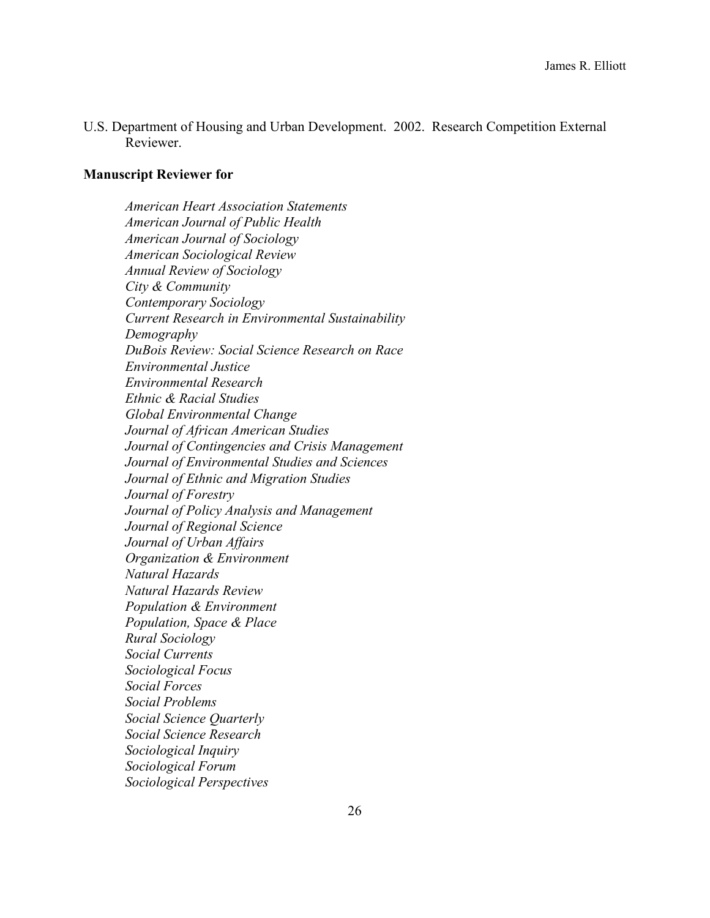U.S. Department of Housing and Urban Development. 2002. Research Competition External Reviewer.

#### **Manuscript Reviewer for**

*American Heart Association Statements American Journal of Public Health American Journal of Sociology American Sociological Review Annual Review of Sociology City & Community Contemporary Sociology Current Research in Environmental Sustainability Demography DuBois Review: Social Science Research on Race Environmental Justice Environmental Research Ethnic & Racial Studies Global Environmental Change Journal of African American Studies Journal of Contingencies and Crisis Management Journal of Environmental Studies and Sciences Journal of Ethnic and Migration Studies Journal of Forestry Journal of Policy Analysis and Management Journal of Regional Science Journal of Urban Affairs Organization & Environment Natural Hazards Natural Hazards Review Population & Environment Population, Space & Place Rural Sociology Social Currents Sociological Focus Social Forces Social Problems Social Science Quarterly Social Science Research Sociological Inquiry Sociological Forum Sociological Perspectives*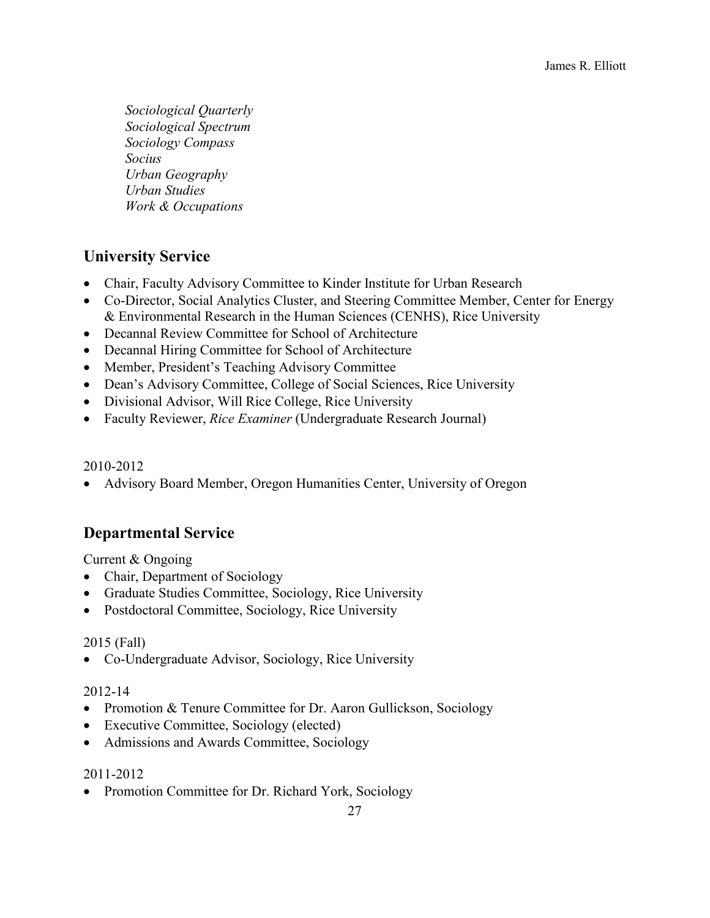*Sociological Quarterly Sociological Spectrum Sociology Compass Socius Urban Geography Urban Studies Work & Occupations*

# **University Service**

- Chair, Faculty Advisory Committee to Kinder Institute for Urban Research
- Co-Director, Social Analytics Cluster, and Steering Committee Member, Center for Energy & Environmental Research in the Human Sciences (CENHS), Rice University
- Decannal Review Committee for School of Architecture
- Decannal Hiring Committee for School of Architecture
- Member, President's Teaching Advisory Committee
- Dean's Advisory Committee, College of Social Sciences, Rice University
- Divisional Advisor, Will Rice College, Rice University
- Faculty Reviewer, *Rice Examiner* (Undergraduate Research Journal)

#### 2010-2012

• Advisory Board Member, Oregon Humanities Center, University of Oregon

### **Departmental Service**

Current & Ongoing

- Chair, Department of Sociology
- Graduate Studies Committee, Sociology, Rice University
- Postdoctoral Committee, Sociology, Rice University

#### 2015 (Fall)

• Co-Undergraduate Advisor, Sociology, Rice University

#### 2012-14

- Promotion & Tenure Committee for Dr. Aaron Gullickson, Sociology
- Executive Committee, Sociology (elected)
- Admissions and Awards Committee, Sociology

#### 2011-2012

• Promotion Committee for Dr. Richard York, Sociology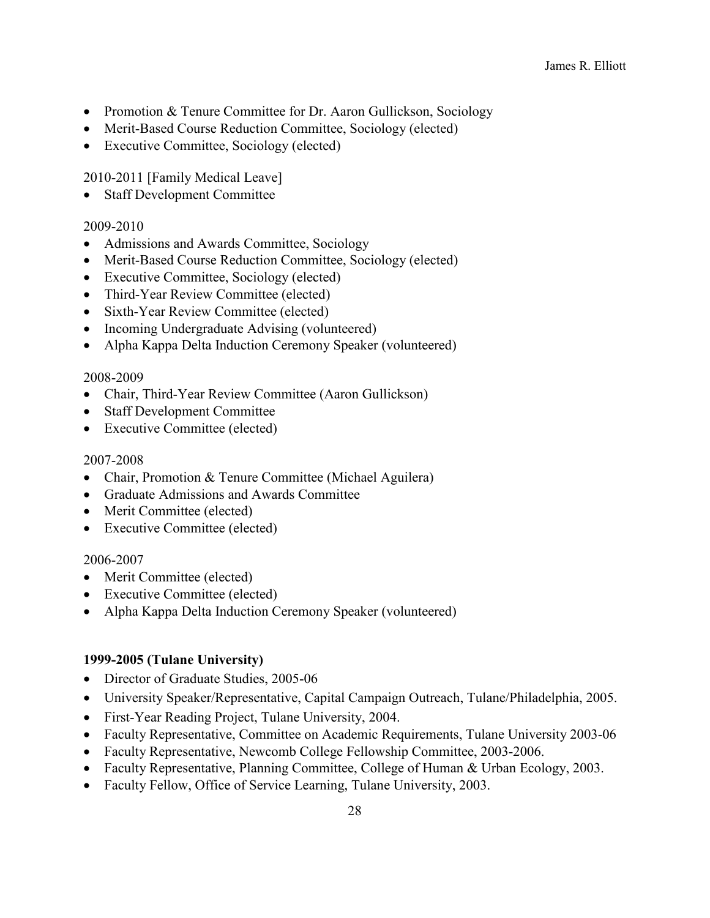- Promotion & Tenure Committee for Dr. Aaron Gullickson, Sociology
- Merit-Based Course Reduction Committee, Sociology (elected)
- Executive Committee, Sociology (elected)

2010-2011 [Family Medical Leave]

• Staff Development Committee

#### 2009-2010

- Admissions and Awards Committee, Sociology
- Merit-Based Course Reduction Committee, Sociology (elected)
- Executive Committee, Sociology (elected)
- Third-Year Review Committee (elected)
- Sixth-Year Review Committee (elected)
- Incoming Undergraduate Advising (volunteered)
- Alpha Kappa Delta Induction Ceremony Speaker (volunteered)

#### 2008-2009

- Chair, Third-Year Review Committee (Aaron Gullickson)
- Staff Development Committee
- Executive Committee (elected)

#### 2007-2008

- Chair, Promotion & Tenure Committee (Michael Aguilera)
- Graduate Admissions and Awards Committee
- Merit Committee (elected)
- Executive Committee (elected)

#### 2006-2007

- Merit Committee (elected)
- Executive Committee (elected)
- Alpha Kappa Delta Induction Ceremony Speaker (volunteered)

#### **1999-2005 (Tulane University)**

- Director of Graduate Studies, 2005-06
- University Speaker/Representative, Capital Campaign Outreach, Tulane/Philadelphia, 2005.
- First-Year Reading Project, Tulane University, 2004.
- Faculty Representative, Committee on Academic Requirements, Tulane University 2003-06
- Faculty Representative, Newcomb College Fellowship Committee, 2003-2006.
- Faculty Representative, Planning Committee, College of Human & Urban Ecology, 2003.
- Faculty Fellow, Office of Service Learning, Tulane University, 2003.